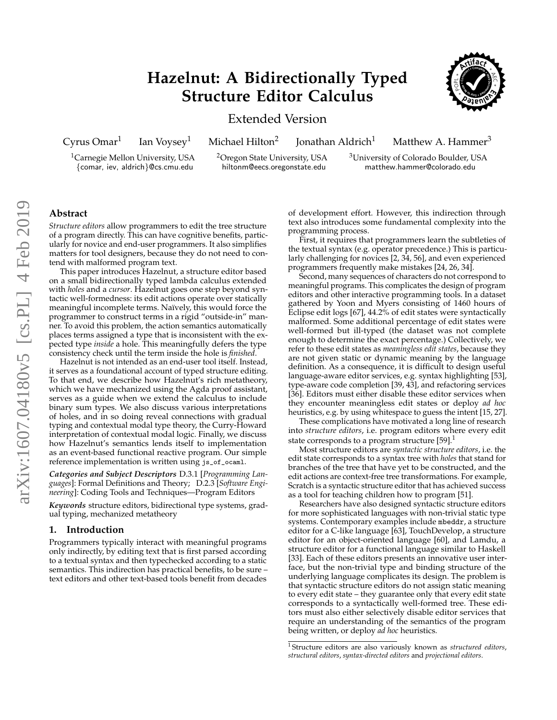# **Hazelnut: A Bidirectionally Typed Structure Editor Calculus**



## Extended Version

Cyrus Omar<sup>1</sup> Ian Voysey<sup>1</sup> Michael Hilton<sup>2</sup>

Jonathan Aldrich<sup>1</sup> Matthew A. Hammer<sup>3</sup>

<sup>1</sup>Carnegie Mellon University, USA {comar, iev, aldrich}@cs.cmu.edu

<sup>2</sup>Oregon State University, USA hiltonm@eecs.oregonstate.edu

<sup>3</sup>University of Colorado Boulder, USA matthew.hammer@colorado.edu

## **Abstract**

*Structure editors* allow programmers to edit the tree structure of a program directly. This can have cognitive benefits, particularly for novice and end-user programmers. It also simplifies matters for tool designers, because they do not need to contend with malformed program text.

This paper introduces Hazelnut, a structure editor based on a small bidirectionally typed lambda calculus extended with *holes* and a *cursor*. Hazelnut goes one step beyond syntactic well-formedness: its edit actions operate over statically meaningful incomplete terms. Naïvely, this would force the programmer to construct terms in a rigid "outside-in" manner. To avoid this problem, the action semantics automatically places terms assigned a type that is inconsistent with the expected type *inside* a hole. This meaningfully defers the type consistency check until the term inside the hole is *finished*.

Hazelnut is not intended as an end-user tool itself. Instead, it serves as a foundational account of typed structure editing. To that end, we describe how Hazelnut's rich metatheory, which we have mechanized using the Agda proof assistant, serves as a guide when we extend the calculus to include binary sum types. We also discuss various interpretations of holes, and in so doing reveal connections with gradual typing and contextual modal type theory, the Curry-Howard interpretation of contextual modal logic. Finally, we discuss how Hazelnut's semantics lends itself to implementation as an event-based functional reactive program. Our simple reference implementation is written using js\_of\_ocaml.

*Categories and Subject Descriptors* D.3.1 [*Programming Languages*]: Formal Definitions and Theory; D.2.3 [*Software Engineering*]: Coding Tools and Techniques—Program Editors

*Keywords* structure editors, bidirectional type systems, gradual typing, mechanized metatheory

### <span id="page-0-1"></span>**1. Introduction**

Programmers typically interact with meaningful programs only indirectly, by editing text that is first parsed according to a textual syntax and then typechecked according to a static semantics. This indirection has practical benefits, to be sure – text editors and other text-based tools benefit from decades

of development effort. However, this indirection through text also introduces some fundamental complexity into the programming process.

First, it requires that programmers learn the subtleties of the textual syntax (e.g. operator precedence.) This is particularly challenging for novices [\[2,](#page-13-0) [34,](#page-13-1) [56\]](#page-14-0), and even experienced programmers frequently make mistakes [\[24,](#page-13-2) [26,](#page-13-3) [34\]](#page-13-1).

Second, many sequences of characters do not correspond to meaningful programs. This complicates the design of program editors and other interactive programming tools. In a dataset gathered by Yoon and Myers consisting of 1460 hours of Eclipse edit logs [\[67\]](#page-14-1), 44.2% of edit states were syntactically malformed. Some additional percentage of edit states were well-formed but ill-typed (the dataset was not complete enough to determine the exact percentage.) Collectively, we refer to these edit states as *meaningless edit states*, because they are not given static or dynamic meaning by the language definition. As a consequence, it is difficult to design useful language-aware editor services, e.g. syntax highlighting [\[53\]](#page-14-2), type-aware code completion [\[39,](#page-13-4) [43\]](#page-13-5), and refactoring services [\[36\]](#page-13-6). Editors must either disable these editor services when they encounter meaningless edit states or deploy *ad hoc* heuristics, e.g. by using whitespace to guess the intent [\[15,](#page-13-7) [27\]](#page-13-8).

These complications have motivated a long line of research into *structure editors*, i.e. program editors where every edit state corresponds to a program structure  $[59]$ .<sup>[1](#page-0-0)</sup>

Most structure editors are *syntactic structure editors*, i.e. the edit state corresponds to a syntax tree with *holes* that stand for branches of the tree that have yet to be constructed, and the edit actions are context-free tree transformations. For example, Scratch is a syntactic structure editor that has achieved success as a tool for teaching children how to program [\[51\]](#page-14-4).

Researchers have also designed syntactic structure editors for more sophisticated languages with non-trivial static type systems. Contemporary examples include mbeddr, a structure editor for a C-like language [\[63\]](#page-14-5), TouchDevelop, a structure editor for an object-oriented language [\[60\]](#page-14-6), and Lamdu, a structure editor for a functional language similar to Haskell [\[33\]](#page-13-9). Each of these editors presents an innovative user interface, but the non-trivial type and binding structure of the underlying language complicates its design. The problem is that syntactic structure editors do not assign static meaning to every edit state – they guarantee only that every edit state corresponds to a syntactically well-formed tree. These editors must also either selectively disable editor services that require an understanding of the semantics of the program being written, or deploy *ad hoc* heuristics.

<span id="page-0-0"></span><sup>1</sup> Structure editors are also variously known as *structured editors*, *structural editors*, *syntax-directed editors* and *projectional editors*.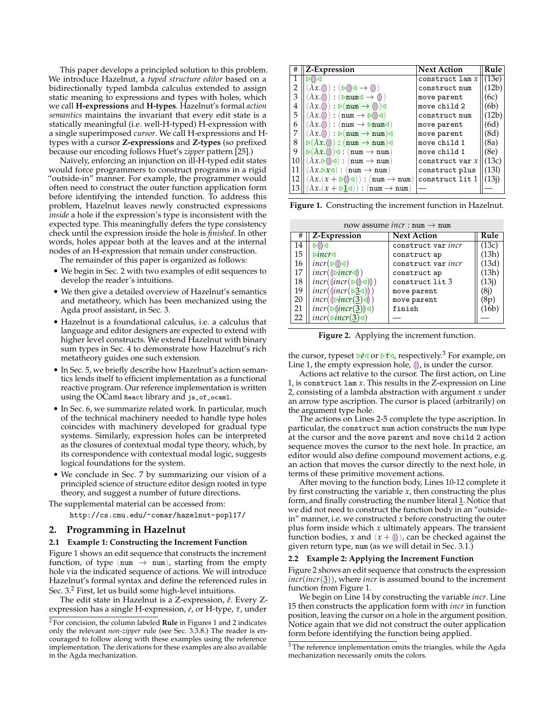This paper develops a principled solution to this problem. We introduce Hazelnut, a *typed structure editor* based on a bidirectionally typed lambda calculus extended to assign static meaning to expressions and types with holes, which we call **H-expressions** and **H-types**. Hazelnut's formal *action semantics* maintains the invariant that every edit state is a statically meaningful (i.e. well-H-typed) H-expression with a single superimposed *cursor*. We call H-expressions and Htypes with a cursor **Z-expressions** and **Z-types** (so prefixed because our encoding follows Huet's *zipper* pattern [\[25\]](#page-13-10).)

Naïvely, enforcing an injunction on ill-H-typed edit states would force programmers to construct programs in a rigid "outside-in" manner. For example, the programmer would often need to construct the outer function application form before identifying the intended function. To address this problem, Hazelnut leaves newly constructed expressions *inside* a hole if the expression's type is inconsistent with the expected type. This meaningfully defers the type consistency check until the expression inside the hole is *finished*. In other words, holes appear both at the leaves and at the internal nodes of an H-expression that remain under construction.

The remainder of this paper is organized as follows:

- We begin in Sec. [2](#page-1-0) with two examples of edit sequences to develop the reader's intuitions.
- We then give a detailed overview of Hazelnut's semantics and metatheory, which has been mechanized using the Agda proof assistant, in Sec. [3.](#page-2-0)
- Hazelnut is a foundational calculus, i.e. a calculus that language and editor designers are expected to extend with higher level constructs. We extend Hazelnut with binary sum types in Sec. [4](#page-8-0) to demonstrate how Hazelnut's rich metatheory guides one such extension.
- In Sec. [5,](#page-9-0) we briefly describe how Hazelnut's action semantics lends itself to efficient implementation as a functional reactive program. Our reference implementation is written using the OCaml React library and js\_of\_ocaml.
- In Sec. [6,](#page-10-0) we summarize related work. In particular, much of the technical machinery needed to handle type holes coincides with machinery developed for gradual type systems. Similarly, expression holes can be interpreted as the closures of contextual modal type theory, which, by its correspondence with contextual modal logic, suggests logical foundations for the system.
- We conclude in Sec. [7](#page-12-0) by summarizing our vision of a principled science of structure editor design rooted in type theory, and suggest a number of future directions.

The supplemental material can be accessed from:

<http://cs.cmu.edu/~comar/hazelnut-popl17/>

### <span id="page-1-0"></span>**2. Programming in Hazelnut**

#### **2.1 Example 1: Constructing the Increment Function**

Figure [1](#page-1-1) shows an edit sequence that constructs the increment function, of type (num  $\rightarrow$  num), starting from the empty hole via the indicated sequence of actions. We will introduce Hazelnut's formal syntax and define the referenced rules in Sec. [3.](#page-2-0)<sup>[2](#page-1-2)</sup> First, let us build some high-level intuitions.

The edit state in Hazelnut is a Z-expression,  $\hat{e}$ . Every Zexpression has a single H-expression, *e*˙, or H-type, *τ*˙, under

| #  | Z-Expression                                                                                  | <b>Next Action</b> | Rule  |
|----|-----------------------------------------------------------------------------------------------|--------------------|-------|
| 1  |                                                                                               | $constant$ $1am x$ | (13e) |
| 2  | $\lambda x.$ (1) : ( $\triangleright$ (1) $\triangleleft \rightarrow$ (1))                    | construct num      | (12b) |
| 3  | : $(\triangleright \text{num} \triangleleft \rightarrow \text{()}$<br>$\lambda x.$ (1)        | move parent        | 6c)   |
| 4  | : $\triangleright$ (num $\rightarrow$ ( ))<br>$\lambda x.$ (  )                               | move child 2       | (6b)  |
| 5  | $(\text{num} \rightarrow \triangleright (\parallel \triangleleft$<br>$\lambda x$ . (1)        | construct num      | (12b) |
| 6  | $\lambda x.$ (1) : (num $\rightarrow$ $\triangleright$ num $\triangleleft$ )                  | move parent        | (6d)  |
| 7  | $\lambda x.$ (1) : $\triangleright$ (num $\rightarrow$ num)                                   | move parent        | (8d)  |
| 8  | $\lambda x$ .(  ))<br>$(\texttt{num} \rightarrow \texttt{num})$<br>$\ddot{\cdot}$             | move child 1       | (8a)  |
| 9  | $\triangleright (\lambda x. \text{(I)} \setminus \triangleleft : (\text{num} \to \text{num})$ | move child 1       | (8e)  |
| 10 | $\lambda x.\triangleright(\parallel\le) : (\text{num} \to \text{num})$                        | $constant$ var $x$ | (13c) |
| 11 | $\lambda x.\triangleright x\triangleleft$ : (num $\rightarrow$ num)                           | construct plus     | (13l) |
| 12 | $\lambda x.(x + \triangleright (\parallel\triangleleft))$ : (num $\rightarrow$ num)           | construct lit 1    | (13j) |
| 13 | $\lambda x.(x + b1\triangleleft))$<br>$\mathsf{num} \to \mathtt{num}$<br>$\ddot{\cdot}$       |                    |       |

<span id="page-1-1"></span>**Figure 1.** Constructing the increment function in Hazelnut.

|    | now assume <i>incr</i> : $num \rightarrow num$            |                           |                   |  |  |
|----|-----------------------------------------------------------|---------------------------|-------------------|--|--|
| #  | <b>Next Action</b><br>Z-Expression                        |                           |                   |  |  |
| 14 |                                                           | construct var <i>incr</i> | (13c)             |  |  |
| 15 | $\triangleright$ incr $\triangleleft$                     | construct ap              | (13h)             |  |  |
| 16 | $incr(\triangleright(\parallel\triangleleft)$             | construct var <i>incr</i> | (13d)             |  |  |
| 17 | $incr(\sqrt{sincr}\lvert\mathbf{r}\rvert)$                | construct ap              | (13h)             |  |  |
| 18 | $incr(\ incr(\triangleright(\  \triangleleft)))$          | construct lit 3           | (13i)             |  |  |
| 19 | $incr(\left(\sqrt{23}\right))$                            | move parent               | (8 <sub>i</sub> ) |  |  |
| 20 | $incr((\triangleright incr(3) \triangleleft))$            | move parent               | (8p)              |  |  |
| 21 | $incr(\triangleright (incr(\underline{3}))\triangleleft)$ | finish                    | (16b)             |  |  |
| 22 | $incr(\triangleright incr(3) \triangleleft)$              |                           |                   |  |  |

<span id="page-1-3"></span>**Figure 2.** Applying the increment function.

the cursor, typeset *⊳e*⊲ or  $\triangleright$ **i**< $\cdot$ , respectively.<sup>[3](#page-1-4)</sup> For example, on Line 1, the empty expression hole,  $\langle \parallel$ , is under the cursor.

Actions act relative to the cursor. The first action, on Line 1, is construct lam *x*. This results in the Z-expression on Line 2, consisting of a lambda abstraction with argument *x* under an arrow type ascription. The cursor is placed (arbitrarily) on the argument type hole.

The actions on Lines 2-5 complete the type ascription. In particular, the construct num action constructs the num type at the cursor and the move parent and move child 2 action sequence moves the cursor to the next hole. In practice, an editor would also define compound movement actions, e.g. an action that moves the cursor directly to the next hole, in terms of these primitive movement actions.

After moving to the function body, Lines 10-12 complete it by first constructing the variable  $x$ , then constructing the plus form, and finally constructing the number literal 1. Notice that we did not need to construct the function body in an "outsidein" manner, i.e. we constructed *x* before constructing the outer plus form inside which *x* ultimately appears. The transient function bodies, *x* and  $(x + \mathbf{I})$ , can be checked against the given return type, num (as we will detail in Sec. [3.1.](#page-2-1))

#### **2.2 Example 2: Applying the Increment Function**

Figure [2](#page-1-3) shows an edit sequence that constructs the expression *incr*(*incr*(3)), where *incr* is assumed bound to the increment function from Figure [1.](#page-1-1)

We begin on Line 14 by constructing the variable *incr*. Line 15 then constructs the application form with *incr* in function position, leaving the cursor on a hole in the argument position. Notice again that we did not construct the outer application form before identifying the function being applied.

<span id="page-1-2"></span><sup>2</sup> For concision, the column labeled **Rule** in Figures [1](#page-1-1) and [2](#page-1-3) indicates only the relevant *non-zipper* rule (see Sec. [3.3.8.](#page-7-0)) The reader is encouraged to follow along with these examples using the reference implementation. The derivations for these examples are also available in the Agda mechanization.

<span id="page-1-4"></span><sup>&</sup>lt;sup>3</sup> The reference implementation omits the triangles, while the Agda mechanization necessarily omits the colors.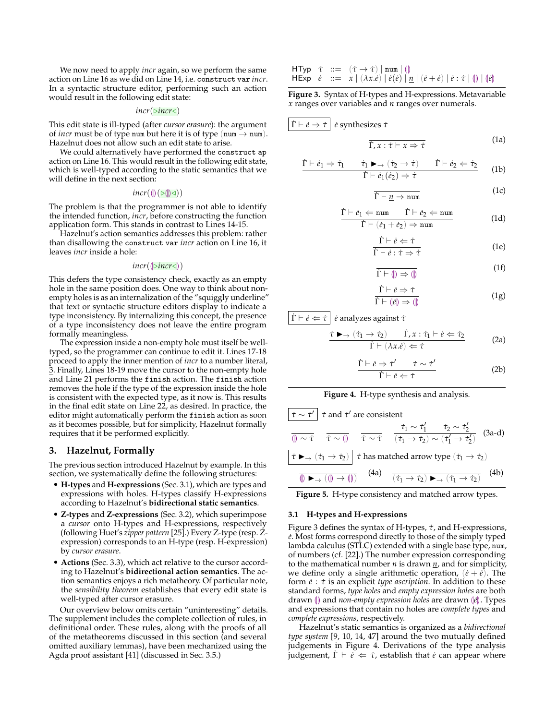We now need to apply *incr* again, so we perform the same action on Line 16 as we did on Line 14, i.e. construct var *incr*. In a syntactic structure editor, performing such an action would result in the following edit state:

#### $incr(\triangleright$ *incr* $\triangleleft)$

This edit state is ill-typed (after *cursor erasure*): the argument of *incr* must be of type num but here it is of type (num  $\rightarrow$  num). Hazelnut does not allow such an edit state to arise.

We could alternatively have performed the construct ap action on Line 16. This would result in the following edit state, which is well-typed according to the static semantics that we will define in the next section:

#### $incr(\mathbb{D}(\triangleright\mathbb{D}\triangleleft))$

The problem is that the programmer is not able to identify the intended function, *incr*, before constructing the function application form. This stands in contrast to Lines 14-15.

Hazelnut's action semantics addresses this problem: rather than disallowing the construct var *incr* action on Line 16, it leaves *incr* inside a hole:

#### $incr(\sqrt{liner\cdot M})$

This defers the type consistency check, exactly as an empty hole in the same position does. One way to think about nonempty holes is as an internalization of the "squiggly underline" that text or syntactic structure editors display to indicate a type inconsistency. By internalizing this concept, the presence of a type inconsistency does not leave the entire program formally meaningless.

The expression inside a non-empty hole must itself be welltyped, so the programmer can continue to edit it. Lines 17-18 proceed to apply the inner mention of *incr* to a number literal, 3. Finally, Lines 18-19 move the cursor to the non-empty hole and Line 21 performs the finish action. The finish action removes the hole if the type of the expression inside the hole is consistent with the expected type, as it now is. This results in the final edit state on Line 22, as desired. In practice, the editor might automatically perform the finish action as soon as it becomes possible, but for simplicity, Hazelnut formally requires that it be performed explicitly.

## <span id="page-2-0"></span>**3. Hazelnut, Formally**

The previous section introduced Hazelnut by example. In this section, we systematically define the following structures:

- **H-types** and **H-expressions** (Sec. [3.1\)](#page-2-1), which are types and expressions with holes. H-types classify H-expressions according to Hazelnut's **bidirectional static semantics**.
- **Z-types** and **Z-expressions** (Sec. [3.2\)](#page-3-0), which superimpose a *cursor* onto H-types and H-expressions, respectively (following Huet's *zipper pattern* [\[25\]](#page-13-10).) Every Z-type (resp. Zexpression) corresponds to an H-type (resp. H-expression) by *cursor erasure*.
- **Actions** (Sec. [3.3\)](#page-3-1), which act relative to the cursor according to Hazelnut's **bidirectional action semantics**. The action semantics enjoys a rich metatheory. Of particular note, the *sensibility theorem* establishes that every edit state is well-typed after cursor erasure.

Our overview below omits certain "uninteresting" details. The supplement includes the complete collection of rules, in definitional order. These rules, along with the proofs of all of the metatheorems discussed in this section (and several omitted auxiliary lemmas), have been mechanized using the Agda proof assistant [\[41\]](#page-13-11) (discussed in Sec. [3.5.](#page-8-1))

HTyp *<sup>τ</sup>*˙ ::<sup>=</sup> (*τ*˙ <sup>→</sup> *<sup>τ</sup>*˙) <sup>|</sup> num <sup>|</sup> LM HExp *<sup>e</sup>*˙ ::<sup>=</sup> *<sup>x</sup>* <sup>|</sup> (*λx*.*e*˙) <sup>|</sup> *<sup>e</sup>*˙(*e*˙) <sup>|</sup> *<sup>n</sup>* <sup>|</sup> (*e*˙ <sup>+</sup> *<sup>e</sup>*˙) <sup>|</sup> *<sup>e</sup>*˙ : *<sup>τ</sup>*˙ <sup>|</sup> LM <sup>|</sup> <sup>L</sup>*e*˙<sup>M</sup>

<span id="page-2-2"></span>**Figure 3.** Syntax of H-types and H-expressions. Metavariable *x* ranges over variables and *n* ranges over numerals.

$$
\frac{\dot{\Gamma} \vdash \dot{e} \Rightarrow \dot{\tau}}{\dot{\Gamma}, x : \dot{\tau} \vdash x \Rightarrow \dot{\tau}}
$$

<span id="page-2-8"></span>
$$
\frac{\dot{\Gamma} \vdash \dot{e}_1 \Rightarrow \dot{\tau}_1 \qquad \dot{\tau}_1 \blacktriangleright_{\rightarrow} (\dot{\tau}_2 \rightarrow \dot{\tau}) \qquad \dot{\Gamma} \vdash \dot{e}_2 \Leftarrow \dot{\tau}_2}{\dot{\Gamma} \vdash \dot{e}_1(\dot{e}_2) \Rightarrow \dot{\tau}}
$$
 (1b)

<span id="page-2-9"></span><span id="page-2-6"></span>
$$
\overline{\dot{\Gamma} \vdash \underline{n} \Rightarrow \text{num}} \tag{1c}
$$

(1a)

<span id="page-2-10"></span>
$$
\frac{\dot{\Gamma} \vdash \dot{e}_1 \Leftarrow \texttt{num} \qquad \dot{\Gamma} \vdash \dot{e}_2 \Leftarrow \texttt{num}}{\dot{\Gamma} \vdash (\dot{e}_1 + \dot{e}_2) \Rightarrow \texttt{num}} \qquad \qquad (1d)
$$

<span id="page-2-11"></span>
$$
\frac{\dot{\Gamma} \vdash \dot{e} \Leftarrow \dot{\tau}}{\dot{\Gamma} \vdash \dot{e} : \dot{\tau} \Rightarrow \dot{\tau}}
$$
\n(1e)

<span id="page-2-12"></span>
$$
\overline{\Gamma \vdash \langle \rangle \Rightarrow \langle \rangle}
$$
 (1f)

<span id="page-2-13"></span>
$$
\frac{\dot{\Gamma} \vdash \dot{e} \Rightarrow \dot{\tau}}{\dot{\Gamma} \vdash (\dot{e}) \Rightarrow (\mathbb{I})} \tag{1g}
$$

Γ˙ ` *e*˙ ⇐ *τ*˙ *e*˙ analyzes against *τ*˙

<span id="page-2-7"></span>
$$
\frac{\dot{\tau} \blacktriangleright_{\rightarrow} (\dot{\tau}_1 \rightarrow \dot{\tau}_2) \qquad \dot{\Gamma}, x : \dot{\tau}_1 \vdash \dot{e} \Leftarrow \dot{\tau}_2}{\dot{\Gamma} \vdash (\lambda x. \dot{e}) \Leftarrow \dot{\tau}}
$$
 (2a)

<span id="page-2-4"></span><span id="page-2-3"></span>
$$
\frac{\dot{\Gamma} \vdash \dot{e} \Rightarrow \dot{\tau}^{\prime} \qquad \dot{\tau} \sim \dot{\tau}^{\prime}}{\dot{\Gamma} \vdash \dot{e} \Leftarrow \dot{\tau}}
$$
 (2b)

#### **Figure 4.** H-type synthesis and analysis.

| $ \dot{\tau} \sim \dot{\tau}'  \dot{\tau}$ and $\dot{\tau}'$ are consistent |  |                                                                                                                                                                                                               |      |
|-----------------------------------------------------------------------------|--|---------------------------------------------------------------------------------------------------------------------------------------------------------------------------------------------------------------|------|
|                                                                             |  | $\frac{\dot{\tau}_1 \sim \dot{\tau}_1'}{\ \vec{v}\  \sim \dot{\tau}} \quad \frac{\dot{\tau}_1 \sim \dot{\tau}_1'}{\ \vec{v}_1 \to \vec{\tau}_2\  \sim (\dot{\tau}_1' \to \dot{\tau}_2')} \quad \text{(3a-d)}$ |      |
|                                                                             |  | $\big  \, \dot{\tau} \blacktriangleright_{\rightarrow} (\dot{\tau}_1 \rightarrow \dot{\tau}_2) \, \big  \, \dot{\tau}$ has matched arrow type $(\dot{\tau}_1 \rightarrow \dot{\tau}_2)$                       |      |
|                                                                             |  | $\frac{1}{(\mathbb{D} \blacktriangleright_{\rightarrow} (\mathbb{D} \rightarrow \mathbb{D})}$ (4a) $\frac{1}{(\tau_1 \rightarrow \tau_2) \blacktriangleright_{\rightarrow} (\tau_1 \rightarrow \tau_2)}$      | (4b) |

<span id="page-2-5"></span>**Figure 5.** H-type consistency and matched arrow types.

#### <span id="page-2-1"></span>**3.1 H-types and H-expressions**

Figure [3](#page-2-2) defines the syntax of H-types, *τ*˙, and H-expressions, *e*˙. Most forms correspond directly to those of the simply typed lambda calculus (STLC) extended with a single base type, num, of numbers (cf. [\[22\]](#page-13-12).) The number expression corresponding to the mathematical number *n* is drawn *n*, and for simplicity, we define only a single arithmetic operation,  $(e + e)$ . The form *e*˙ : *τ*˙ is an explicit *type ascription*. In addition to these standard forms, *type holes* and *empty expression holes* are both drawn  $\Box$  and *non-empty expression holes* are drawn  $\Diamond$ *ė* $\Diamond$ . Types and expressions that contain no holes are *complete types* and *complete expressions*, respectively.

Hazelnut's static semantics is organized as a *bidirectional type system* [\[9,](#page-13-13) [10,](#page-13-14) [14,](#page-13-15) [47\]](#page-14-7) around the two mutually defined judgements in Figure [4.](#page-2-3) Derivations of the type analysis judgement,  $\dot{\Gamma} \vdash \dot{e} \Leftarrow \dot{\tau}$ , establish that  $\dot{e}$  can appear where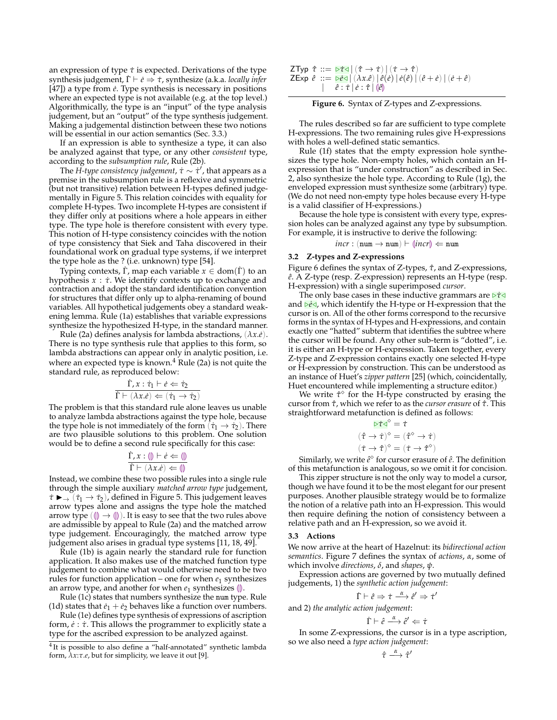an expression of type *τ*˙ is expected. Derivations of the type synthesis judgement,  $\dot{\Gamma}$  *⊨ è* ⇒ *τ*<sup>*,*</sup> synthesize (a.k.a. *locally infer* [\[47\]](#page-14-7)) a type from  $\dot{e}$ . Type synthesis is necessary in positions where an expected type is not available (e.g. at the top level.) Algorithmically, the type is an "input" of the type analysis judgement, but an "output" of the type synthesis judgement. Making a judgemental distinction between these two notions will be essential in our action semantics (Sec. [3.3.](#page-3-1))

If an expression is able to synthesize a type, it can also be analyzed against that type, or any other *consistent* type, according to the *subsumption rule*, Rule [\(2b\)](#page-2-4).

The *H-type consistency judgement, τ* ∼ *τ',* that appears as a premise in the subsumption rule is a reflexive and symmetric (but not transitive) relation between H-types defined judgementally in Figure [5.](#page-2-5) This relation coincides with equality for complete H-types. Two incomplete H-types are consistent if they differ only at positions where a hole appears in either type. The type hole is therefore consistent with every type. This notion of H-type consistency coincides with the notion of type consistency that Siek and Taha discovered in their foundational work on gradual type systems, if we interpret the type hole as the ? (i.e. unknown) type [\[54\]](#page-14-8).

Typing contexts, Γ˙ , map each variable *x* ∈ dom(Γ˙) to an hypothesis *x* : *τ*˙. We identify contexts up to exchange and contraction and adopt the standard identification convention for structures that differ only up to alpha-renaming of bound variables. All hypothetical judgements obey a standard weakening lemma. Rule [\(1a\)](#page-2-6) establishes that variable expressions synthesize the hypothesized H-type, in the standard manner.

Rule [\(2a\)](#page-2-7) defines analysis for lambda abstractions, (*λx*.*e*˙). There is no type synthesis rule that applies to this form, so lambda abstractions can appear only in analytic position, i.e. where an expected type is known. $4$  Rule [\(2a\)](#page-2-7) is not quite the standard rule, as reproduced below:

$$
\frac{\dot{\Gamma}, x : \dot{\tau}_1 \vdash \dot{e} \Leftarrow \dot{\tau}_2}{\dot{\Gamma} \vdash (\lambda x. \dot{e}) \Leftarrow (\dot{\tau}_1 \rightarrow \dot{\tau}_2)}
$$

The problem is that this standard rule alone leaves us unable to analyze lambda abstractions against the type hole, because the type hole is not immediately of the form  $(\tau_1 \rightarrow \tau_2)$ . There are two plausible solutions to this problem. One solution would be to define a second rule specifically for this case:

$$
\frac{\dot{\Gamma}, x : (\parallel) \vdash \dot{e} \Leftarrow (\parallel)}{\dot{\Gamma} \vdash (\lambda x. \dot{e}) \Leftarrow (\parallel)}
$$

 $\dot{\Gamma} \vdash (\lambda x . \dot{e}) \Leftarrow \emptyset$ <br>Instead, we combine these two possible rules into a single rule through the simple auxiliary *matched arrow type* judgement,  $\tau \blacktriangleright$   $\rightarrow$   $(\tau_1 \rightarrow \tau_2)$ , defined in Figure [5.](#page-2-5) This judgement leaves arrow types alone and assigns the type hole the matched arrow type  $(\mathbb{I} \to \mathbb{I})$ . It is easy to see that the two rules above are admissible by appeal to Rule [\(2a\)](#page-2-7) and the matched arrow type judgement. Encouragingly, the matched arrow type judgement also arises in gradual type systems [\[11,](#page-13-16) [18,](#page-13-17) [49\]](#page-14-9).

Rule [\(1b\)](#page-2-8) is again nearly the standard rule for function application. It also makes use of the matched function type judgement to combine what would otherwise need to be two rules for function application – one for when  $e_1$  synthesizes an arrow type, and another for when  $e_1$  synthesizes  $\mathcal{L}$ .

Rule [\(1c\)](#page-2-9) states that numbers synthesize the num type. Rule [\(1d\)](#page-2-10) states that  $\dot{e}_1 + \dot{e}_2$  behaves like a function over numbers.

Rule [\(1e\)](#page-2-11) defines type synthesis of expressions of ascription form, *e*˙ : *τ*˙. This allows the programmer to explicitly state a type for the ascribed expression to be analyzed against.

|  | ZTyp $\hat{\tau} ::= \frac{\triangleright \dot{\tau} \triangleleft}   (\hat{\tau} \rightarrow \dot{\tau})   (\dot{\tau} \rightarrow \hat{\tau})$ |
|--|--------------------------------------------------------------------------------------------------------------------------------------------------|
|  | ZExp $\hat{e} ::= \overrightarrow{be} \cdot   (\lambda x . \hat{e})   \hat{e}(e)   e(\hat{e})   (\hat{e} + \hat{e})   (\hat{e} + \hat{e})$       |
|  | $\hat{e}$ : $\dot{\tau}$   $\dot{e}$ : $\hat{\tau}$   $\langle \hat{e} \rangle$                                                                  |
|  |                                                                                                                                                  |

<span id="page-3-3"></span>**Figure 6.** Syntax of Z-types and Z-expressions.

The rules described so far are sufficient to type complete H-expressions. The two remaining rules give H-expressions with holes a well-defined static semantics.

Rule [\(1f\)](#page-2-12) states that the empty expression hole synthesizes the type hole. Non-empty holes, which contain an Hexpression that is "under construction" as described in Sec. [2,](#page-1-0) also synthesize the hole type. According to Rule [\(1g\)](#page-2-13), the enveloped expression must synthesize some (arbitrary) type. (We do not need non-empty type holes because every H-type is a valid classifier of H-expressions.)

Because the hole type is consistent with every type, expression holes can be analyzed against any type by subsumption. For example, it is instructive to derive the following:

 $incr : (num \rightarrow num) \vdash (incr) \Leftarrow num$ 

### <span id="page-3-0"></span>**3.2 Z-types and Z-expressions**

Figure [6](#page-3-3) defines the syntax of Z-types, *τ*ˆ, and Z-expressions, *e*ˆ. A Z-type (resp. Z-expression) represents an H-type (resp. H-expression) with a single superimposed *cursor*.

The only base cases in these inductive grammars are *⊳***<sup>†</sup>** and  $\frac{\partial e}{\partial x}$ , which identify the H-type or H-expression that the cursor is on. All of the other forms correspond to the recursive forms in the syntax of H-types and H-expressions, and contain exactly one "hatted" subterm that identifies the subtree where the cursor will be found. Any other sub-term is "dotted", i.e. it is either an H-type or H-expression. Taken together, every Z-type and Z-expression contains exactly one selected H-type or H-expression by construction. This can be understood as an instance of Huet's *zipper pattern* [\[25\]](#page-13-10) (which, coincidentally, Huet encountered while implementing a structure editor.)

We write  $\hat{\tau}^{\diamond}$  for the H-type constructed by erasing the cursor from *τ*ˆ, which we refer to as the *cursor erasure* of *τ*ˆ. This straightforward metafunction is defined as follows:

$$
\frac{\triangleright \dot{\tau} \cdot \vec{a}^{\diamond}}{\left(\dot{\tau} \to \dot{\tau}\right)^{\diamond} = \left(\dot{\tau}^{\diamond} \to \dot{\tau}\right)}
$$

$$
\left(\dot{\tau} \to \hat{\tau}\right)^{\diamond} = \left(\dot{\tau} \to \hat{\tau}^{\diamond}\right)
$$

Similarly, we write  $\hat{e}^{\diamond}$  for cursor erasure of  $\hat{e}$ . The definition of this metafunction is analogous, so we omit it for concision.

This zipper structure is not the only way to model a cursor, though we have found it to be the most elegant for our present purposes. Another plausible strategy would be to formalize the notion of a relative path into an H-expression. This would then require defining the notion of consistency between a relative path and an H-expression, so we avoid it.

#### <span id="page-3-1"></span>**3.3 Actions**

We now arrive at the heart of Hazelnut: its *bidirectional action semantics*. Figure [7](#page-4-8) defines the syntax of *actions*, *α*, some of which involve *directions*, *δ*, and *shapes*, *ψ*.

Expression actions are governed by two mutually defined judgements, 1) the *synthetic action judgement*:

$$
\dot{\Gamma} \vdash \hat{e} \Rightarrow \dot{\tau} \stackrel{\alpha}{\longrightarrow} \hat{e}' \Rightarrow \dot{\tau}'
$$

and 2) *the analytic action judgement*:

$$
\dot{\Gamma} \vdash \hat{e} \stackrel{\alpha}{\longrightarrow} \hat{e}' \Leftarrow \dot{\tau}
$$

In some Z-expressions, the cursor is in a type ascription, so we also need a *type action judgement*:

$$
\hat{\tau} \stackrel{\alpha}{\longrightarrow} \hat{\tau}'
$$

<span id="page-3-2"></span><sup>&</sup>lt;sup>4</sup>It is possible to also define a "half-annotated" synthetic lambda form, *λx*:*τ*.*e*, but for simplicity, we leave it out [\[9\]](#page-13-13).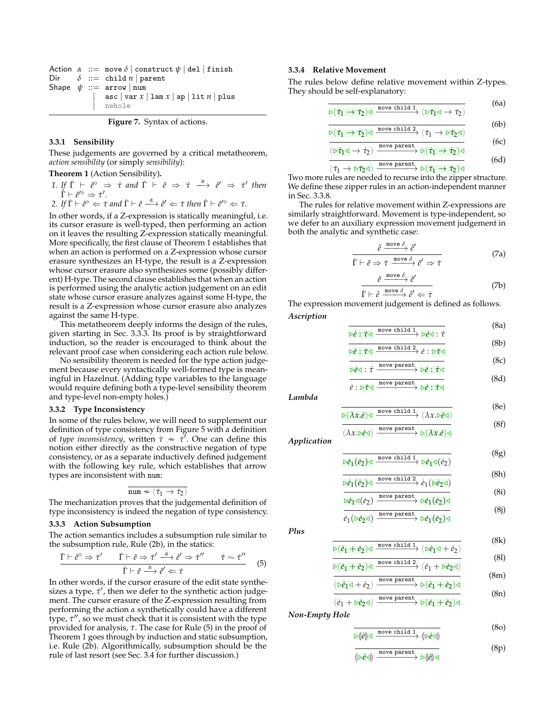Action  $\alpha$  : = move  $\delta$  | construct  $\psi$  | del | finish Dir  $\delta$  ::= child *n* | parent Shape  $\psi ::= \arrow |\text{num}|$ | asc | var *x* | lam *x* | ap | lit *n* | plus nehole

<span id="page-4-8"></span>**Figure 7.** Syntax of actions.

### **3.3.1 Sensibility**

These judgements are governed by a critical metatheorem, *action sensibility* (or simply *sensibility*):

<span id="page-4-9"></span>**Theorem 1** (Action Sensibility)**.**

1. If  $\Gamma$   $\vdash$   $\hat{e}^{\diamond}$   $\Rightarrow$   $\dot{\tau}$  and  $\dot{\Gamma}$   $\vdash$   $\hat{e}$   $\Rightarrow$   $\dot{\tau}$   $\overset{\alpha}{\longrightarrow}$   $\hat{e}'$   $\Rightarrow$   $\dot{\tau}'$  then  $\dot{\Gamma} \vdash \hat{e}^{\prime \diamond} \Rightarrow \dot{\tau}'$ .

 $2.$  If  $\Gamma \vdash \hat{e}^{\diamond} \Leftarrow \tau$  and  $\Gamma \vdash \hat{e} \stackrel{\alpha}{\longrightarrow} \hat{e}^{\prime} \Leftarrow \tau$  then  $\Gamma \vdash \hat{e}^{\prime \diamond} \Leftarrow \tau$ .

In other words, if a Z-expression is statically meaningful, i.e. its cursor erasure is well-typed, then performing an action on it leaves the resulting Z-expression statically meaningful. More specifically, the first clause of Theorem [1](#page-4-9) establishes that when an action is performed on a Z-expression whose cursor erasure synthesizes an H-type, the result is a Z-expression whose cursor erasure also synthesizes some (possibly different) H-type. The second clause establishes that when an action is performed using the analytic action judgement on an edit state whose cursor erasure analyzes against some H-type, the result is a Z-expression whose cursor erasure also analyzes against the same H-type.

This metatheorem deeply informs the design of the rules, given starting in Sec. [3.3.3.](#page-4-10) Its proof is by straightforward induction, so the reader is encouraged to think about the relevant proof case when considering each action rule below.

No sensibility theorem is needed for the type action judgement because every syntactically well-formed type is meaningful in Hazelnut. (Adding type variables to the language would require defining both a type-level sensibility theorem and type-level non-empty holes.)

#### **3.3.2 Type Inconsistency**

In some of the rules below, we will need to supplement our definition of type consistency from Figure [5](#page-2-5) with a definition of *type inconsistency*, written *τ*˙ *τ*˙ 0 . One can define this notion either directly as the constructive negation of type consistency, or as a separate inductively defined judgement with the following key rule, which establishes that arrow types are inconsistent with num:

$$
\texttt{num} \nsim (\dot{\tau}_1 \rightarrow \dot{\tau}_2)
$$

The mechanization proves that the judgemental definition of type inconsistency is indeed the negation of type consistency.

#### <span id="page-4-10"></span>**3.3.3 Action Subsumption**

The action semantics includes a subsumption rule similar to the subsumption rule, Rule [\(2b\)](#page-2-4), in the statics:

<span id="page-4-11"></span>
$$
\frac{\dot{\Gamma} \vdash \hat{e}^{\diamond} \Rightarrow \tau'}{\dot{\Gamma} \vdash \hat{e} \Rightarrow \hat{\tau}' \xrightarrow{\alpha} \hat{e}' \Rightarrow \tau'' \qquad \dot{\tau} \sim \dot{\tau}''}{\dot{\Gamma} \vdash \hat{e} \xrightarrow{\alpha} \hat{e}' \Leftarrow \dot{\tau}}
$$
(5)

In other words, if the cursor erasure of the edit state synthesizes a type,  $\tau'$ , then we defer to the synthetic action judgement. The cursor erasure of the Z-expression resulting from performing the action *α* synthetically could have a different type*, τ'' ,* so we must check that it is consistent with the type provided for analysis, *τ*˙. The case for Rule [\(5\)](#page-4-11) in the proof of Theorem [1](#page-4-9) goes through by induction and static subsumption, i.e. Rule [\(2b\)](#page-2-4). Algorithmically, subsumption should be the rule of last resort (see Sec. [3.4](#page-7-2) for further discussion.)

#### **3.3.4 Relative Movement**

The rules below define relative movement within Z-types. They should be self-explanatory:

$$
\overline{\triangleright (\dot{\tau}_1 \to \dot{\tau}_2) \triangleleft \xrightarrow{\text{move child 1}} (\triangleright \dot{\tau}_1 \triangleleft \to \dot{\tau}_2)}
$$
(6a)

<span id="page-4-1"></span>
$$
\frac{\partial}{\partial \psi}(\dot{\tau}_1 \to \dot{\tau}_2) \triangleleft \xrightarrow{\text{move child 2}} (\dot{\tau}_1 \to \dot{\triangleright} \dot{\tau}_2 \triangleleft) \tag{6b}
$$

<span id="page-4-2"></span><span id="page-4-0"></span>
$$
\xrightarrow{\text{(b\dot{\tau}_1\lhd\rightarrow\dot{\tau}_2)}} \xrightarrow{\text{move parent}} \mathbf{b}(\dot{\tau}_1 \rightarrow \dot{\tau}_2) \mathbf{d}
$$
 (6c)

 $(\dot{\tau}_1 \rightarrow \dot{\tau}_2) \xrightarrow{\text{move parent}} \triangleright (\dot{\tau}_1 \rightarrow \dot{\tau}_2) \triangleleft$ Two more rules are needed to recurse into the zipper structure. We define these zipper rules in an action-independent manner in Sec. [3.3.8.](#page-7-0)

The rules for relative movement within Z-expressions are similarly straightforward. Movement is type-independent, so we defer to an auxiliary expression movement judgement in both the analytic and synthetic case:

$$
\frac{\hat{e} \xrightarrow{\text{move } \delta} \hat{e}'}{\Gamma \vdash \hat{e} \Rightarrow \tau \xrightarrow{\text{move } \delta} \hat{e}' \Rightarrow \tau}
$$
 (7a)

<span id="page-4-4"></span>
$$
\frac{\hat{e} \xrightarrow{\text{move } \delta} \hat{e}'}{\Gamma \vdash \hat{e} \xrightarrow{\text{move } \delta} \hat{e}' \Leftarrow \dot{\tau}}
$$
 (7b)

The expression movement judgement is defined as follows. *Ascription*

<span id="page-4-5"></span><span id="page-4-3"></span>

|             | $\overrightarrow{be} : \overrightarrow{\tau} \triangleleft \xrightarrow{\text{move child 1}} \overrightarrow{be} \triangleleft : \overrightarrow{\tau}$ | (8a) |
|-------------|---------------------------------------------------------------------------------------------------------------------------------------------------------|------|
|             |                                                                                                                                                         | (8b) |
|             | $\overrightarrow{be} : \overrightarrow{\tau} \triangleleft \xrightarrow{\text{move child 2}} \overrightarrow{e} : \overrightarrow{b\tau} \triangleleft$ | (8c) |
|             | $\overrightarrow{be\triangleleft}$ : $\tau \xrightarrow{\text{move parent}} \overrightarrow{be} : \tau \triangleleft$                                   |      |
|             | $\dot{e}: \overrightarrow{b\tau}$ move parent $\overrightarrow{b\dot{e}:\tau}$                                                                          | (8d) |
| Lambda      |                                                                                                                                                         |      |
|             | $\triangleright (\lambda x.\dot{e}) \triangleleft \xrightarrow{\text{move child 1}} (\lambda x.\textcolor{blue}{\triangleright} \dot{e} \triangleleft)$ | (8e) |
|             | $(\lambda x.\triangleright\dot{e}\triangleleft)\xrightarrow{\text{move parent}} \triangleright(\lambda x.\dot{e})\triangleleft$                         | (8f) |
| Application |                                                                                                                                                         |      |
|             | $\triangleright \dot{e}_1(\dot{e}_2) \triangleleft \xrightarrow{\text{move child 1}} \triangleright \dot{e}_1 \triangleleft (\dot{e}_2)$                | (8g) |
|             |                                                                                                                                                         | (8h) |
|             | $\overrightarrow{e}_1(\dot{e}_2)$ $\longrightarrow$ move child 2 $\dot{e}_1(\overrightarrow{e}_2)$                                                      |      |
|             | $\triangleright \dot{e}_1 \triangleleft (\dot{e}_2) \xrightarrow{\text{move parent}} \triangleright \dot{e}_1 (\dot{e}_2) \triangleleft$                | (8i) |
|             | $\dot{e}_1(\overrightarrow{e}_2) \xrightarrow{\text{move parent}} \overrightarrow{e}_1(\dot{e}_2) \triangleleft$                                        | (8j) |
|             |                                                                                                                                                         |      |
| Plus        |                                                                                                                                                         | (8k) |
|             | $\triangleright$ $(\dot{e}_1 + \dot{e}_2) \triangleleft$ move child $1$ $(\triangleright \dot{e}_1 \triangleleft + \dot{e}_2)$                          | (81) |
|             | $\triangleright$ $(\dot{e}_1 + \dot{e}_2) \triangleleft$ move child 2, $(\dot{e}_1 + \triangleright \dot{e}_2 \triangleleft)$                           |      |
|             | $(\triangleright \dot{e}_1 \triangleleft + \dot{e}_2) \xrightarrow{\text{move parent}} \triangleright (\dot{e}_1 + \dot{e}_2) \triangleleft$            | (8m) |
|             |                                                                                                                                                         | (8n) |
|             | $(\dot{e}_1 + \overrightarrow{e_2}) \xrightarrow{\text{move parent}} \overrightarrow{e_1 + e_2}$                                                        |      |

<span id="page-4-6"></span>*Non-Empty Hole*

$$
\triangleright \left( \left| \dot{e} \right| \right) \triangleleft \xrightarrow{\text{move child 1}} \left( \left| \dot{e} \right| \right)
$$
 (80)

 $(8)$ 

 $(8n)$ 

<span id="page-4-7"></span>
$$
\text{(by)} \xrightarrow{\text{move parent}} \text{[}e\text{]} \triangleleft
$$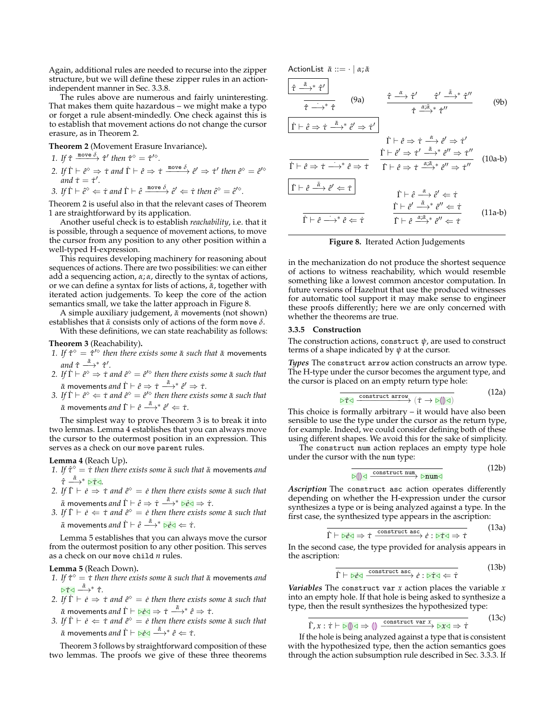Again, additional rules are needed to recurse into the zipper structure, but we will define these zipper rules in an actionindependent manner in Sec. [3.3.8.](#page-7-0)

The rules above are numerous and fairly uninteresting. That makes them quite hazardous – we might make a typo or forget a rule absent-mindedly. One check against this is to establish that movement actions do not change the cursor erasure, as in Theorem [2.](#page-5-2)

<span id="page-5-2"></span>**Theorem 2** (Movement Erasure Invariance)**.**

\n- 1. If 
$$
\hat{\tau} \xrightarrow{\text{move } \delta}
$$
  $\hat{\tau}'$  then  $\hat{\tau}^{\circ} = \hat{\tau}^{\prime \circ}$ .
\n- 2. If  $\Gamma \vdash \hat{e}^{\circ} \Rightarrow \tau$  and  $\Gamma \vdash \hat{e} \Rightarrow \tau \xrightarrow{\text{move } \delta}$   $\hat{e}' \Rightarrow \tau'$  then  $\hat{e}^{\circ} = \hat{e}^{\prime \circ}$  and  $\tau = \tau'$ .
\n- 3. If  $\Gamma \vdash \hat{e}^{\circ} \Leftarrow \tau$  and  $\Gamma \vdash \hat{e} \xrightarrow{\text{move } \delta}$   $\hat{e}' \Leftarrow \tau$  then  $\hat{e}^{\circ} = \hat{e}^{\prime \circ}$ .
\n

Theorem [2](#page-5-2) is useful also in that the relevant cases of Theorem [1](#page-4-9) are straightforward by its application.

Another useful check is to establish *reachability*, i.e. that it is possible, through a sequence of movement actions, to move the cursor from any position to any other position within a well-typed H-expression.

This requires developing machinery for reasoning about sequences of actions. There are two possibilities: we can either add a sequencing action, *α*; *α*, directly to the syntax of actions, or we can define a syntax for lists of actions, *α*¯, together with iterated action judgements. To keep the core of the action semantics small, we take the latter approach in Figure [8.](#page-5-3)

A simple auxiliary judgement, *α*¯ movements (not shown) establishes that  $\bar{\alpha}$  consists only of actions of the form move  $\delta$ .

<span id="page-5-4"></span>With these definitions, we can state reachability as follows: **Theorem 3** (Reachability)**.**

- 1. If  $\hat{\tau}^{\diamond} = \hat{\tau}^{\prime \diamond}$  *then there exists some*  $\bar{\alpha}$  *such that*  $\bar{\alpha}$  movements *and*  $\hat{\tau} \stackrel{\bar{\alpha}}{\longrightarrow}^* \hat{\tau}'$ *.*
- *2.* If  $\dot{\Gamma} \vdash \hat{e}^{\diamond} \Rightarrow \dot{\tau}$  and  $\hat{e}^{\diamond} = \hat{e}^{\prime \diamond}$  then there exists some  $\bar{\alpha}$  such that  $\bar{\alpha}$  movements *and*  $\dot{\Gamma} \vdash \hat{e} \Rightarrow \dot{\tau} \stackrel{\bar{\alpha}}{\longrightarrow}^* \hat{e}' \Rightarrow \dot{\tau}.$
- *3.* If  $\dot{\Gamma} \vdash \hat{e}^{\diamond} \Leftarrow \dot{\tau}$  and  $\hat{e}^{\diamond} = \hat{e}^{\prime \diamond}$  then there exists some  $\bar{\alpha}$  such that  $\bar{\alpha}$  movements *and*  $\dot{\Gamma} \vdash \hat{e} \stackrel{\bar{\alpha}}{\longrightarrow}^* \hat{e}' \Leftarrow \dot{\tau}.$

The simplest way to prove Theorem [3](#page-5-4) is to break it into two lemmas. Lemma [4](#page-5-5) establishes that you can always move the cursor to the outermost position in an expression. This serves as a check on our move parent rules.

#### <span id="page-5-5"></span>**Lemma 4** (Reach Up)**.**

- *1. If τ*ˆ = *τ*˙ *then there exists some α*¯ *such that α*¯ movements *and τ*ˆ *<sup>α</sup>*¯ −→<sup>∗</sup> .*τ*˙ /*.*
- *2. If*  $\dot{\Gamma} \vdash \dot{e} \Rightarrow \dot{\tau}$  *and*  $\hat{e}^{\diamond} = \dot{e}$  *then there exists some*  $\bar{\alpha}$  *such that*  $\bar{\alpha}$  movements  $\textit{and}~\dot{\Gamma} \vdash \hat{e} \Rightarrow \dot{\tau} \stackrel{\bar{\alpha}}{\longrightarrow}^*$   $\triangleright \dot{\epsilon} \triangleleft \Rightarrow \dot{\tau}.$
- *3.* If  $\dot{\Gamma} \vdash \dot{e} \Leftarrow \dot{\tau}$  *and*  $\hat{e}^{\diamond} = \dot{e}$  *then there exists some*  $\bar{\alpha}$  *such that*  $\bar{\alpha}$  movements *and*  $\dot{\Gamma} \vdash \hat{e} \stackrel{\bar{\alpha}}{\longrightarrow}^*$   $\triangleright \dot{\epsilon} \triangleleft \Leftarrow \dot{\tau}$ *.*

Lemma [5](#page-5-6) establishes that you can always move the cursor from the outermost position to any other position. This serves as a check on our move child *n* rules.

## <span id="page-5-6"></span>**Lemma 5** (Reach Down)**.**

- *1. If τ*ˆ = *τ*˙ *then there exists some α*¯ *such that α*¯ movements *and* .*τ*˙ / *<sup>α</sup>*¯ −→<sup>∗</sup> *<sup>τ</sup>*ˆ*.*
- *2.* If  $\dot{\Gamma} \vdash \dot{e} \Rightarrow \dot{\tau}$  *and*  $\hat{e}^{\diamond} = \dot{e}$  *then there exists some*  $\bar{\alpha}$  *such that*  $\alpha$  movements *and*  $\dot{\Gamma} \vdash \triangleright \dot{e} \triangleleft \Rightarrow \dot{\tau} \stackrel{\bar{\alpha}}{\longrightarrow}^* \hat{e} \Rightarrow \dot{\tau}.$
- *3.* If  $\dot{\Gamma} \vdash \dot{e} \Leftarrow \dot{\tau}$  and  $\hat{e}^{\diamond} = \dot{e}$  then there exists some  $\bar{\alpha}$  such that  $\bar{\alpha}$  movements  $\textit{and} \, \, \dot{\Gamma} \vdash \mathsf{b}\dot{\mathsf{e}}$ ⊲  $\stackrel{\bar{\alpha}}{\longrightarrow}^* \hat{e} \Leftarrow \dot{\tau}.$

Theorem [3](#page-5-4) follows by straightforward composition of these two lemmas. The proofs we give of these three theorems ActionList *α*¯ ::= · | *α*; *α*¯

$$
\frac{\hat{\tau} \stackrel{\bar{x}}{\longrightarrow} \hat{\tau}'}{\hat{\tau} \stackrel{\bar{x}}{\longrightarrow} \hat{\tau}} \qquad (9a) \qquad \frac{\hat{\tau} \stackrel{\alpha}{\longrightarrow} \hat{\tau}'}{\hat{\tau} \stackrel{\alpha; \bar{\alpha}}{\longrightarrow} \hat{\tau}''} \hat{\tau}''}{\hat{\tau} \stackrel{\alpha; \bar{\alpha}}{\longrightarrow} \hat{\tau}''} \qquad (9b)
$$
\n
$$
\frac{\Gamma \vdash \hat{e} \Rightarrow \tau \stackrel{\bar{\alpha}}{\longrightarrow} \hat{e}' \Rightarrow \tau'}{\Gamma \vdash \hat{e} \Rightarrow \hat{\tau} \stackrel{\alpha}{\longrightarrow} \hat{e}' \Rightarrow \hat{\tau}'}
$$
\n
$$
\frac{\Gamma \vdash \hat{e} \Rightarrow \tau \stackrel{\alpha}{\longrightarrow} \hat{e}' \Rightarrow \tau'}{\Gamma \vdash \hat{e}' \Rightarrow \hat{\tau}''} \qquad (9b)
$$

$$
\frac{\Gamma \vdash \hat{e} \Rightarrow \tau \longrightarrow^* \hat{e} \Rightarrow \tau}{\Gamma \vdash \hat{e} \Rightarrow \tau \xrightarrow{\alpha \bar{x}^*} \hat{e}'' \Rightarrow \tau''}
$$
 (10a-b)  
\n
$$
\frac{\Gamma \vdash \hat{e} \Rightarrow \tau \longrightarrow^* \hat{e} \Rightarrow \tau}{\Gamma \vdash \hat{e} \Rightarrow \tau \xrightarrow{\alpha \bar{x}^*} \hat{e}'' \Rightarrow \tau''}
$$
 (10a-b)  
\n
$$
\frac{\Gamma \vdash \hat{e} \xrightarrow{\alpha} \hat{e}' \Leftarrow \tau}{\Gamma \vdash \hat{e} \xrightarrow{\alpha \bar{x}^*} \hat{e}'' \Leftarrow \tau}
$$
 (11a-b)

<span id="page-5-3"></span>**Figure 8.** Iterated Action Judgements

in the mechanization do not produce the shortest sequence of actions to witness reachability, which would resemble something like a lowest common ancestor computation. In future versions of Hazelnut that use the produced witnesses for automatic tool support it may make sense to engineer these proofs differently; here we are only concerned with whether the theorems are true.

#### **3.3.5 Construction**

The construction actions, construct *ψ*, are used to construct terms of a shape indicated by *ψ* at the cursor.

*Types* The construct arrow action constructs an arrow type. The H-type under the cursor becomes the argument type, and the cursor is placed on an empty return type hole:

.*τ*˙ / construct arrow −−−−−−−−−−→ (*τ*˙ <sup>→</sup> .LM/) This choice is formally arbitrary – it would have also been

 $(12)$ 

 $(12)$ 

sensible to use the type under the cursor as the return type, for example. Indeed, we could consider defining both of these using different shapes. We avoid this for the sake of simplicity.

The construct num action replaces an empty type hole under the cursor with the num type:

<span id="page-5-0"></span>
$$
\overline{\text{D}(x)} \xrightarrow{\text{construct num}} \overline{\text{num}} \tag{12b}
$$

*Ascription* The construct asc action operates differently depending on whether the H-expression under the cursor synthesizes a type or is being analyzed against a type. In the first case, the synthesized type appears in the ascription:

$$
\Gamma \vdash \overrightarrow{\text{p\'e}\text{q}} \Rightarrow \dot{\tau} \xrightarrow{\text{construct asc}} \dot{e} : \overrightarrow{\text{p\'t}\text{q}} \Rightarrow \dot{\tau}
$$
 (13a)

In the second case, the type provided for analysis appears in the ascription:

$$
\dot{\Gamma} \vdash \text{D\'{e}q} \xrightarrow{\text{construct asc}} \dot{e} : \text{D\'{t}q} \Leftarrow \dot{\tau}
$$
 (13b)

*Variables* The construct var *x* action places the variable *x* into an empty hole. If that hole is being asked to synthesize a type, then the result synthesizes the hypothesized type:

<span id="page-5-1"></span>
$$
\overline{\Gamma, x : \tau \vdash \triangleright \textcircled{1} \triangleleft \Rightarrow \textcircled{1}} \xrightarrow{\text{construct var } x} \triangleright x \triangleleft \Rightarrow \tau
$$
\nIf the hole is being analyzed against a type that is consistent.

with the hypothesized type, then the action semantics goes through the action subsumption rule described in Sec. [3.3.3.](#page-4-10) If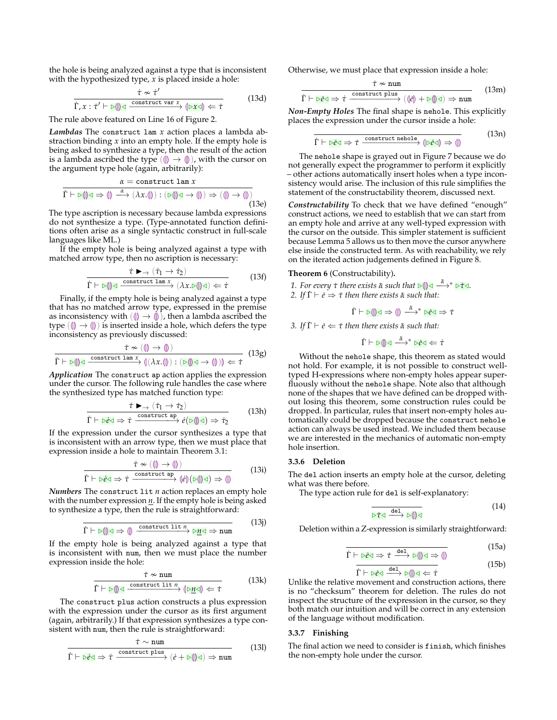the hole is being analyzed against a type that is inconsistent with the hypothesized type, *x* is placed inside a hole:

<span id="page-6-4"></span>
$$
\frac{\dot{\tau} \nsim \dot{\tau}'}{\dot{\Gamma}, x : \dot{\tau}' \vdash \triangleright \text{ }} \text{ construct var } x} \xrightarrow{\text{ } (\triangleright x \triangleleft)} \text{ } (\underbrace{13d})
$$

The rule above featured on Line 16 of Figure [2.](#page-1-3)

*Lambdas* The construct lam *x* action places a lambda abstraction binding *x* into an empty hole. If the empty hole is being asked to synthesize a type, then the result of the action is a lambda ascribed the type  $(\parallel \rightarrow \parallel)$ , with the cursor on the argument type hole (again, arbitrarily):

<span id="page-6-0"></span>*α* = construct lam *x* <sup>Γ</sup>˙ ` .LM/ <sup>⇒</sup> LM *<sup>α</sup>* −→ (*λx*.LM) : (.LM/ <sup>→</sup> LM) <sup>⇒</sup> (LM <sup>→</sup> LM) (13e)

The type ascription is necessary because lambda expressions do not synthesize a type. (Type-annotated function definitions often arise as a single syntactic construct in full-scale languages like ML.)

If the empty hole is being analyzed against a type with matched arrow type, then no ascription is necessary:

<span id="page-6-6"></span>
$$
\frac{\dot{\tau} \blacktriangleright_{\rightarrow} (\dot{\tau}_1 \rightarrow \dot{\tau}_2)}{\dot{\Gamma} \vdash \text{D}(\text{C}) \triangleleft \text{ construct } \lim_{x} \chi \left( \lambda x. \text{D}(\text{C}) \right) \Leftarrow \dot{\tau}}
$$
\n(13f)

Finally, if the empty hole is being analyzed against a type that has no matched arrow type, expressed in the premise as inconsistency with  $(\parallel \rightarrow \parallel)$ , then a lambda ascribed the type  $(\mathbb{I} \rightarrow \mathbb{I})$  is inserted inside a hole, which defers the type inconsistency as previously discussed:

<span id="page-6-7"></span>
$$
\frac{\dot{\tau} \nsim (\langle \mathbf{u} \rangle \rightarrow \langle \mathbf{u} \rangle)}{\dot{\Gamma} \vdash \triangleright (\mathbf{u} \triangleleft \frac{\text{construct } \text{lam } x}{\mathbf{u}} \quad (\langle \lambda x. \mathbf{u} \rangle) : (\triangleright (\mathbf{u} \triangleleft \rightarrow \mathbf{u})) \rangle \Leftarrow \dot{\tau}} \quad (13g)
$$

*Application* The construct ap action applies the expression under the cursor. The following rule handles the case where the synthesized type has matched function type:

<span id="page-6-3"></span>*<sup>τ</sup>*˙ I<sup>→</sup> (*τ*˙<sup>1</sup> → *<sup>τ</sup>*˙2) Γ˙ ` .*e*˙/ ⇒ *τ*˙ construct ap −−−−−−−−→ *<sup>e</sup>*˙(.LM/) <sup>⇒</sup> *<sup>τ</sup>*˙<sup>2</sup> (13h)

If the expression under the cursor synthesizes a type that is inconsistent with an arrow type, then we must place that expression inside a hole to maintain Theorem [3.1:](#page-2-1)

$$
\begin{array}{c}\n \dot{\tau} \propto (\langle \rangle \rightarrow \langle \rangle) \\
 \Gamma \vdash \rho \dot{e} \lhd \Rightarrow \dot{\tau} \xrightarrow{\text{construct ap}} \langle \dot{e} \rangle (\rho \langle \rangle \lhd \rangle \Rightarrow \langle \rangle\n \end{array} \tag{13i}
$$

*Numbers* The construct lit *n* action replaces an empty hole with the number expression *n*. If the empty hole is being asked to synthesize a type, then the rule is straightforward:

<span id="page-6-2"></span>
$$
\Gamma \vdash \mathsf{D}(\mathsf{M}) \Rightarrow (\mathsf{M}) \xrightarrow{\text{construct lit } n} \mathsf{D} \mathbf{M} \Rightarrow \text{num} \tag{13}
$$

If the empty hole is being analyzed against a type that is inconsistent with num, then we must place the number expression inside the hole:

$$
\frac{\dot{\tau} \nsim \text{num}}{\dot{\Gamma} \vdash \triangleright \text{log} \underbrace{\text{construct it } n}_{\text{max}} \text{ (b)} \Leftrightarrow \dot{\tau}} \tag{13k}
$$

The construct plus action constructs a plus expression with the expression under the cursor as its first argument (again, arbitrarily.) If that expression synthesizes a type consistent with num, then the rule is straightforward:

<span id="page-6-1"></span>
$$
\frac{\dot{\tau} \sim \text{num}}{\dot{\Gamma} \vdash \text{b\'{e}4} \Rightarrow \dot{\tau} \xrightarrow{\text{construct plus}} (\dot{e} + \text{b} \text{)} \Rightarrow \text{num}} \qquad (13l)
$$

Otherwise, we must place that expression inside a hole:

$$
\dot{\tau} \nsim \text{num}
$$
\n
$$
\dot{\Gamma} \vdash \text{p\'e}\lhd \Rightarrow \dot{\tau} \xrightarrow{\text{construct plus}} (\lvert \dot{e} \rvert) + \text{p}(\lvert\lvert \lvert \text{d}) \Rightarrow \text{num}
$$
\n(13m)

*Non-Empty Holes* The final shape is nehole. This explicitly places the expression under the cursor inside a hole:

$$
\overline{\dot{\Gamma} \vdash \triangleright \dot{e} \triangleleft \Rightarrow \dot{\tau} \xrightarrow{\text{construct nebole}} (\triangleright \dot{e} \triangleleft) \Rightarrow (\parallel \text{)} } (13n)
$$

The nehole shape is grayed out in Figure [7](#page-4-8) because we do not generally expect the programmer to perform it explicitly – other actions automatically insert holes when a type inconsistency would arise. The inclusion of this rule simplifies the statement of the constructability theorem, discussed next.

*Constructability* To check that we have defined "enough" construct actions, we need to establish that we can start from an empty hole and arrive at any well-typed expression with the cursor on the outside. This simpler statement is sufficient because Lemma [5](#page-5-6) allows us to then move the cursor anywhere else inside the constructed term. As with reachability, we rely on the iterated action judgements defined in Figure [8.](#page-5-3)

<span id="page-6-5"></span>**Theorem 6** (Constructability)**.**

- *1. For every τ**there exists* $\bar{\alpha}$ *such that*  $\frac{D(\sqrt{2} \bar{\alpha})^*}{2}$  *k*  $\frac{1}{2}$  *k*  $\frac{1}{2}$  *λ*  $\rightarrow$  *τ+ than there exists*  $\bar{\alpha}$  *cuch that*.
- *2. If*  $\dot{\Gamma} \vdash \dot{e} \Rightarrow \dot{\tau}$  *then there exists*  $\bar{\alpha}$  *such that:*

$$
\dot{\Gamma} \vdash \mathsf{D} \langle \mathsf{D} \mathsf{A} \Rightarrow \langle \mathsf{D} \xrightarrow{\bar{\alpha}}^* \mathsf{D} \dot{\mathsf{C}} \mathsf{A} \Rightarrow \dot{\tau}
$$

*3. If*  $\dot{\Gamma} \vdash \dot{e} \Leftarrow \dot{\tau}$  *then there exists*  $\bar{\alpha}$  *such that:* 

 $\Gamma \vdash \triangleright \textcircled{\scriptsize{\textcircled{\tiny{\textcirc}}}} \rightarrow^* \triangleright \textcircled{\scriptsize{\textcircled{\tiny{\textcirc}}}} \Leftarrow \textup{\scriptsize{\textcircled{\tiny{\textcirc}}}}$ 

Without the nehole shape, this theorem as stated would not hold. For example, it is not possible to construct welltyped H-expressions where non-empty holes appear superfluously without the nehole shape. Note also that although none of the shapes that we have defined can be dropped without losing this theorem, some construction rules could be dropped. In particular, rules that insert non-empty holes automatically could be dropped because the construct nehole action can always be used instead. We included them because we are interested in the mechanics of automatic non-empty hole insertion.

#### **3.3.6 Deletion**

The del action inserts an empty hole at the cursor, deleting what was there before.

The type action rule for del is self-explanatory:

$$
\overline{\mathbf{r}} \triangleleft \xrightarrow{\text{del}} \mathbf{L} \langle \mathbf{r} \rangle \tag{14}
$$

 $(14)$ 

Deletion within a Z-expression is similarly straightforward:

$$
\frac{1}{\Gamma \vdash \text{odd} \rightarrow \tau \text{ del}} \tag{15a}
$$

$$
\dot{\Gamma} \vdash \underline{\triangleright e \triangleleft} \Rightarrow \dot{\tau} \xrightarrow{\text{del}} \underline{\triangleright (\parallel \triangleleft} \Rightarrow \text{(15b)}
$$
\n
$$
\dot{\Gamma} \vdash \underline{\triangleright e \triangleleft} \xrightarrow{\text{del}} \underline{\triangleright (\parallel \triangleleft} \Leftarrow \dot{\tau}
$$
\n(15b)

\nive movement and construction actions there

Unlike the relative movement and construction actions, there is no "checksum" theorem for deletion. The rules do not inspect the structure of the expression in the cursor, so they both match our intuition and will be correct in any extension of the language without modification.

#### **3.3.7 Finishing**

The final action we need to consider is finish, which finishes the non-empty hole under the cursor.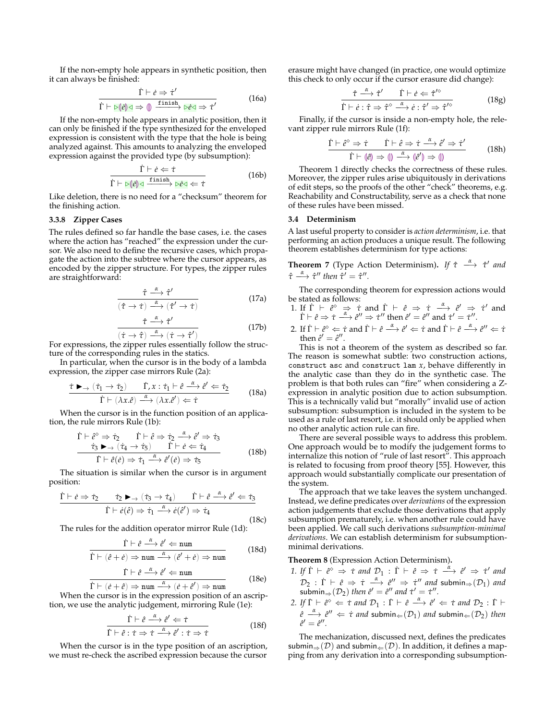If the non-empty hole appears in synthetic position, then it can always be finished:

$$
\dot{\Gamma} \vdash \dot{e} \Rightarrow \dot{\tau}'
$$
\n
$$
\dot{\Gamma} \vdash \triangleright (\dot{e}) \triangleleft \Rightarrow (\parallel \frac{\text{finish}}{\text{sech}}) \stackrel{\dot{\mathsf{p}} \triangleleft \Rightarrow \dot{\tau}'}{\text{sech}}) \tag{16a}
$$

If the non-empty hole appears in analytic position, then it can only be finished if the type synthesized for the enveloped expression is consistent with the type that the hole is being analyzed against. This amounts to analyzing the enveloped expression against the provided type (by subsumption):

<span id="page-7-1"></span>
$$
\frac{\dot{\Gamma} \vdash \dot{e} \Leftarrow \dot{\tau}}{\dot{\Gamma} \vdash \rho [\dot{e}] \triangleleft \xrightarrow{\text{finish}} \rho \dot{e} \triangleleft \Leftarrow \dot{\tau}}
$$
\n(16b)

Like deletion, there is no need for a "checksum" theorem for the finishing action.

#### <span id="page-7-0"></span>**3.3.8 Zipper Cases**

The rules defined so far handle the base cases, i.e. the cases where the action has "reached" the expression under the cursor. We also need to define the recursive cases, which propagate the action into the subtree where the cursor appears, as encoded by the zipper structure. For types, the zipper rules are straightforward:

$$
\frac{\hat{\tau} \stackrel{\alpha}{\longrightarrow} \hat{\tau}'}{(\hat{\tau} \rightarrow \dot{\tau}) \stackrel{\alpha}{\longrightarrow} (\hat{\tau}' \rightarrow \dot{\tau})}
$$
(17a)

$$
\frac{\hat{\tau} \stackrel{\alpha}{\longrightarrow} \hat{\tau}'}{(\tau \to \hat{\tau}) \stackrel{\alpha}{\longrightarrow} (\hat{\tau} \to \hat{\tau}')}
$$
 (17b)

For expressions, the zipper rules essentially follow the structure of the corresponding rules in the statics.

In particular, when the cursor is in the body of a lambda expression, the zipper case mirrors Rule [\(2a\)](#page-2-7):

$$
\frac{\dot{\tau} \blacktriangleright_{\rightarrow} (\dot{\tau}_1 \rightarrow \dot{\tau}_2) \qquad \dot{\Gamma}, x : \dot{\tau}_1 \vdash \hat{e} \xrightarrow{\alpha} \hat{e}' \Leftarrow \dot{\tau}_2}{\dot{\Gamma} \vdash (\lambda x. \hat{e}) \xrightarrow{\alpha} (\lambda x. \hat{e}') \Leftarrow \dot{\tau}}
$$
(18a)

When the cursor is in the function position of an application, the rule mirrors Rule [\(1b\)](#page-2-8):

$$
\dot{\Gamma} \vdash \hat{e}^{\diamond} \Rightarrow \dot{\tau}_2 \qquad \dot{\Gamma} \vdash \hat{e} \Rightarrow \dot{\tau}_2 \xrightarrow{\alpha} \hat{e}' \Rightarrow \dot{\tau}_3 \n\dot{\tau}_3 \blacktriangleright_{\rightarrow} (\dot{\tau}_4 \rightarrow \dot{\tau}_5) \qquad \dot{\Gamma} \vdash \dot{e} \Leftarrow \dot{\tau}_4 \n\dot{\Gamma} \vdash \hat{e}(e) \Rightarrow \dot{\tau}_1 \xrightarrow{\alpha} \hat{e}'(e) \Rightarrow \dot{\tau}_5
$$
\n(18b)

The situation is similar when the cursor is in argument position:

$$
\begin{array}{ccc}\n\dot{\Gamma} \vdash \dot{e} \Rightarrow \dot{\tau}_2 & \dot{\tau}_2 \blacktriangleright \rightarrow (\dot{\tau}_3 \rightarrow \dot{\tau}_4) & \dot{\Gamma} \vdash \dot{e} \xrightarrow{\alpha} \dot{e}' \Leftarrow \dot{\tau}_3 \\
\dot{\Gamma} \vdash \dot{e}(\hat{e}) \Rightarrow \dot{\tau}_1 \xrightarrow{\alpha} \dot{e}(\hat{e}') \Rightarrow \dot{\tau}_4\n\end{array} \tag{18c}
$$

The rules for the addition operator mirror Rule [\(1d\)](#page-2-10):

$$
\frac{\dot{\Gamma} \vdash \hat{e} \stackrel{\alpha}{\longrightarrow} \hat{e}' \Leftarrow \text{num}}{\dot{\Gamma} \vdash (\hat{e} + \dot{e}) \Rightarrow \text{num} \stackrel{\alpha}{\longrightarrow} (\hat{e}' + \dot{e}) \Rightarrow \text{num}} \tag{18d}
$$

$$
\frac{\dot{\Gamma} \vdash \hat{e} \xrightarrow{\alpha} \hat{e}' \Leftarrow \text{num}}{\dot{\Gamma} \vdash (\dot{e} + \hat{e}) \Rightarrow \text{num} \xrightarrow{\alpha} (\dot{e} + \hat{e}') \Rightarrow \text{num}} \tag{18e}
$$

When the cursor is in the expression position of an ascription, we use the analytic judgement, mirroring Rule [\(1e\)](#page-2-11):

$$
\frac{\dot{\Gamma} \vdash \hat{e} \xrightarrow{\alpha} \hat{e}' \Leftarrow \tau}{\dot{\Gamma} \vdash \hat{e} : \dot{\tau} \Rightarrow \dot{\tau} \xrightarrow{\alpha} \hat{e}' : \dot{\tau} \Rightarrow \dot{\tau}}
$$
\n(18f)

When the cursor is in the type position of an ascription, we must re-check the ascribed expression because the cursor erasure might have changed (in practice, one would optimize this check to only occur if the cursor erasure did change):

<span id="page-7-3"></span>
$$
\frac{\hat{\tau} \stackrel{\alpha}{\longrightarrow} \hat{\tau}'}{\dot{\Gamma} \vdash \dot{e}: \hat{\tau} \Rightarrow \hat{\tau}^{\diamond} \stackrel{\alpha}{\longrightarrow} \dot{e}: \hat{\tau}' \Rightarrow \hat{\tau}'^{\diamond}} \tag{18g}
$$

Finally, if the cursor is inside a non-empty hole, the relevant zipper rule mirrors Rule [\(1f\)](#page-2-12):

$$
\frac{\Gamma \vdash \hat{e}^{\diamond} \Rightarrow \dot{\tau} \qquad \Gamma \vdash \hat{e} \Rightarrow \dot{\tau} \stackrel{\alpha}{\longrightarrow} \hat{e}' \Rightarrow \dot{\tau}'}{\Gamma \vdash (\hat{e}) \Rightarrow (\parallel) \stackrel{\alpha}{\longrightarrow} (\parallel^2') \Rightarrow (\parallel) } \qquad (18h)
$$
\nTheorem 1 directly checks the correctness of these rules.

Moreover, the zipper rules arise ubiquitously in derivations of edit steps, so the proofs of the other "check" theorems, e.g. Reachability and Constructability, serve as a check that none of these rules have been missed.

#### <span id="page-7-2"></span>**3.4 Determinism**

A last useful property to consider is *action determinism*, i.e. that performing an action produces a unique result. The following theorem establishes determinism for type actions:

**Theorem** 7 (Type Action Determinism). *If τ* <sup>*α*</sup> *τ<sup><i>ι</sup> and*</sup>  $\hat{\tau} \stackrel{\alpha}{\longrightarrow} \hat{\tau}''$  then  $\hat{\tau}' = \hat{\tau}''$ .

The corresponding theorem for expression actions would be stated as follows:

- 1. If  $\Gamma \vdash \hat{e}^{\diamond} \Rightarrow \tau$  and  $\Gamma \vdash \hat{e} \Rightarrow \tau \stackrel{\alpha}{\longrightarrow} \hat{e}' \Rightarrow \tau'$  and  $\dot{\Gamma} \vdash \hat{e} \Rightarrow \dot{\tau} \stackrel{\alpha}{\longrightarrow} \hat{e}'' \Rightarrow \dot{\tau}''$  then  $\hat{e}' = \hat{e}''$  and  $\dot{\tau}' = \dot{\tau}''$ .
- 2. If  $\Gamma \vdash \hat{e}^{\diamond} \Leftarrow \tau$  and  $\Gamma \vdash \hat{e} \stackrel{\alpha}{\longrightarrow} \hat{e}^{\prime} \Leftarrow \tau$  and  $\Gamma \vdash \hat{e} \stackrel{\alpha}{\longrightarrow} \hat{e}^{\prime\prime} \Leftarrow \tau$ then  $\hat{e}' = \hat{e}''$ .

This is not a theorem of the system as described so far. The reason is somewhat subtle: two construction actions, construct asc and construct lam *x*, behave differently in the analytic case than they do in the synthetic case. The problem is that both rules can "fire" when considering a Zexpression in analytic position due to action subsumption. This is a technically valid but "morally" invalid use of action subsumption: subsumption is included in the system to be used as a rule of last resort, i.e. it should only be applied when no other analytic action rule can fire.

There are several possible ways to address this problem. One approach would be to modify the judgement forms to internalize this notion of "rule of last resort". This approach is related to focusing from proof theory [\[55\]](#page-14-10). However, this approach would substantially complicate our presentation of the system.

The approach that we take leaves the system unchanged. Instead, we define predicates over *derivations* of the expression action judgements that exclude those derivations that apply subsumption prematurely, i.e. when another rule could have been applied. We call such derivations *subsumption-minimal derivations*. We can establish determinism for subsumptionminimal derivations.

### **Theorem 8** (Expression Action Determinism)**.**

- 1. If  $\dot{\Gamma} \vdash \hat{e}^{\diamond} \Rightarrow \dot{\tau}$  and  $\mathcal{D}_1 : \dot{\Gamma} \vdash \hat{e} \Rightarrow \dot{\tau} \stackrel{\alpha}{\longrightarrow} \hat{e}^{\prime} \Rightarrow \dot{\tau}^{\prime}$  and  $\mathcal{D}_2$  :  $\Gamma \vdash \hat{e} \Rightarrow \tau \stackrel{\alpha}{\longrightarrow} \hat{e}'' \Rightarrow \tau''$  and submin<sub>⇒</sub> $(\mathcal{D}_1)$  and  $\overline{\text{submin}} \Rightarrow (\mathcal{D}_2)$  *then*  $\hat{e}' = \hat{e}''$  *and*  $\dot{\tau}' = \dot{\tau}''$ .
- *2. If*  $\dot{\Gamma} \vdash \hat{e}^{\diamond} \Leftarrow \dot{\tau}$  *and*  $\mathcal{D}_1 : \dot{\Gamma} \vdash \hat{e} \stackrel{\alpha}{\longrightarrow} \hat{e}^{\prime} \Leftarrow \dot{\tau}$  *and*  $\mathcal{D}_2 : \dot{\Gamma} \vdash$  $\hat{e} \stackrel{\alpha}{\longrightarrow} \hat{e}'' \Leftarrow \dot{\tau}$  *and* submin $\Leftarrow$ ( $\mathcal{D}_1$ ) *and* submin $\Leftarrow$ ( $\mathcal{D}_2$ ) *then*  $\hat{e}' = \hat{e}''$ .

The mechanization, discussed next, defines the predicates submin⇒(D) and submin∈(D). In addition, it defines a mapping from any derivation into a corresponding subsumption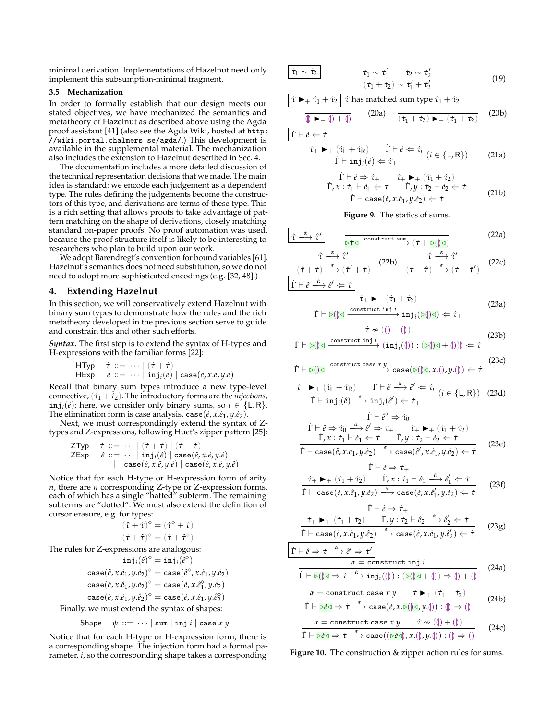minimal derivation. Implementations of Hazelnut need only implement this subsumption-minimal fragment.

#### <span id="page-8-1"></span>**3.5 Mechanization**

In order to formally establish that our design meets our stated objectives, we have mechanized the semantics and metatheory of Hazelnut as described above using the Agda proof assistant [\[41\]](#page-13-11) (also see the Agda Wiki, hosted at [http:](http://wiki.portal.chalmers.se/agda/) [//wiki.portal.chalmers.se/agda/](http://wiki.portal.chalmers.se/agda/).) This development is available in the supplemental material. The mechanization also includes the extension to Hazelnut described in Sec. [4.](#page-8-0)

The documentation includes a more detailed discussion of the technical representation decisions that we made. The main idea is standard: we encode each judgement as a dependent type. The rules defining the judgements become the constructors of this type, and derivations are terms of these type. This is a rich setting that allows proofs to take advantage of pattern matching on the shape of derivations, closely matching standard on-paper proofs. No proof automation was used, because the proof structure itself is likely to be interesting to researchers who plan to build upon our work.

We adopt Barendregt's convention for bound variables [\[61\]](#page-14-11). Hazelnut's semantics does not need substitution, so we do not need to adopt more sophisticated encodings (e.g. [\[32,](#page-13-18) [48\]](#page-14-12).)

#### <span id="page-8-0"></span>**4. Extending Hazelnut**

In this section, we will conservatively extend Hazelnut with binary sum types to demonstrate how the rules and the rich metatheory developed in the previous section serve to guide and constrain this and other such efforts.

*Syntax.* The first step is to extend the syntax of H-types and H-expressions with the familiar forms [\[22\]](#page-13-12):

\n
$$
\text{HTyp} \quad \dot{\tau} ::= \cdots \mid (\dot{\tau} + \dot{\tau})
$$
\n

\n\n $\text{HExp} \quad \dot{e} ::= \cdots \mid \text{inj}_i(\dot{e}) \mid \text{case}(\dot{e}, x. \dot{e}, y. \dot{e})$ \n

Recall that binary sum types introduce a new type-level connective,  $(\dot{\tau}_1 + \dot{\tau}_2)$ . The introductory forms are the *injections*,  $\text{inj}_i(e)$ ; here, we consider only binary sums, so  $i \in \{\textsf{L},\textsf{R}\}.$ The elimination form is case analysis,  $\cose(\dot{e}, x.\dot{e}_1, y.\dot{e}_2)$ .

Next, we must correspondingly extend the syntax of Ztypes and Z-expressions, following Huet's zipper pattern [\[25\]](#page-13-10):

$$
\begin{array}{ll}\mathsf{ZType} & \hat{\tau} ::= \cdots \mid (\hat{\tau} + \dot{\tau}) \mid (\dot{\tau} + \hat{\tau}) \\ \mathsf{ZExp} & \hat{e} ::= \cdots \mid \mathsf{inj}_i(\hat{e}) \mid \mathsf{case}(\hat{e}, x.\dot{e}, y.\dot{e}) \\ & & \mid \mathsf{case}(\dot{e}, x.\hat{e}, y.\dot{e}) \mid \mathsf{case}(\dot{e}, x.\dot{e}, y.\dot{e})\n\end{array}
$$

Notice that for each H-type or H-expression form of arity *n*, there are *n* corresponding Z-type or Z-expression forms, each of which has a single "hatted" subterm. The remaining subterms are "dotted". We must also extend the definition of cursor erasure, e.g. for types:

$$
(\hat{\tau}+\dot{\tau})^\diamond=(\hat{\tau}^\diamond+\dot{\tau})
$$

$$
(\dot{\tau}+\hat{\tau})^\diamond=(\dot{\tau}+\hat{\tau}^\diamond)
$$

The rules for Z-expressions are analogous:

$$
\begin{aligned} \texttt{inj}_i(\hat{\ell})^\diamond = \texttt{inj}_i(\hat{\ell}^\diamond) \\ \texttt{case}(\hat{\ell}, x.\hat{e}_1, y.\hat{e}_2)^\diamond = \texttt{case}(\hat{\ell}^\diamond, x.\hat{e}_1, y.\hat{e}_2) \\ \texttt{case}(\hat{\ell}, x.\hat{e}_1, y.\hat{e}_2)^\diamond = \texttt{case}(\hat{\ell}, x.\hat{\ell}^\diamond_1, y.\hat{e}_2) \\ \texttt{case}(\hat{\ell}, x.\hat{e}_1, y.\hat{e}_2)^\diamond = \texttt{case}(\hat{\ell}, x.\hat{e}_1, y.\hat{e}_2^\diamond) \end{aligned}
$$

Finally, we must extend the syntax of shapes:

$$
\mathsf{Shape} \quad \psi ::= \cdots \mid \mathtt{sum} \mid \mathtt{inj} \text{ } i \mid \mathtt{case} \text{ } x \text{ } y
$$

Notice that for each H-type or H-expression form, there is a corresponding shape. The injection form had a formal parameter, *i*, so the corresponding shape takes a corresponding

$$
\frac{\dot{\tau}_1 \sim \dot{\tau}_2}{(\dot{\tau}_1 + \dot{\tau}_2) \sim \dot{\tau}_1' + \dot{\tau}_2'} \tag{19}
$$

 $\tau \blacktriangleright_+ \tau_1 + \tau_2 \mid \tau$  has matched sum type  $\tau_1 + \tau_2$ 

(20b)  

$$
\overline{(\uparrow + \uparrow + \uparrow)}
$$
 (20a) 
$$
\overline{(\dot{\tau}_1 + \dot{\tau}_2) + (\dot{\tau}_1 + \dot{\tau}_2)}
$$
 (20b)

$$
\boxed{\Gamma \vdash \dot{e} \Leftarrow \dot{\tau}}
$$

$$
\frac{\dot{\tau}_{+} \blacktriangleright_{+} (\dot{\tau}_{L} + \dot{\tau}_{R}) \qquad \dot{\Gamma} \vdash \dot{e} \Leftarrow \dot{\tau}_{i}}{\dot{\Gamma} \vdash \text{inj}_{i}(\dot{e}) \Leftarrow \dot{\tau}_{+}} (i \in \{\text{L}, \text{R}\}) \tag{21a}
$$

$$
\begin{array}{ccc}\n\dot{\Gamma} \vdash \dot{e} \Rightarrow \dot{\tau}_{+} & \dot{\tau}_{+} \blacktriangleright_{+} (\dot{\tau}_{1} + \dot{\tau}_{2}) \\
\frac{\dot{\Gamma}_{+} x : \dot{\tau}_{1} \vdash \dot{e}_{1} \Leftarrow \dot{\tau} & \dot{\Gamma}_{+} y : \dot{\tau}_{2} \vdash \dot{e}_{2} \Leftarrow \dot{\tau}}{\dot{\Gamma} \vdash \text{case}(\dot{e}, x. \dot{e}_{1}, y. \dot{e}_{2}) \Leftarrow \dot{\tau}}\n\end{array} \tag{21b}
$$

<span id="page-8-6"></span><span id="page-8-4"></span><span id="page-8-2"></span>**Figure 9.** The statics of sums.

$$
\begin{array}{c|c}\n\hline\n\hat{\tau} \xrightarrow{\alpha} \hat{\tau}' & \overline{\text{construct sum}} & (\hat{\tau} + \mathbf{D} \mathbf{Q} | \mathbf{Q}) \\
\hline\n\hat{\tau} \xrightarrow{\alpha} \hat{\tau}' & \overline{\text{constant}} & \hat{\tau} \xrightarrow{\alpha} \hat{\tau}'\n\end{array}
$$
\n(22a)

<span id="page-8-5"></span>
$$
\frac{\hat{\tau} \xrightarrow{\alpha} \hat{\tau}'}{(\hat{\tau} + \hat{\tau}) \xrightarrow{\alpha} (\hat{\tau}' + \hat{\tau})} (22b) \frac{\hat{\tau} \xrightarrow{\alpha} \hat{\tau}'}{(\hat{\tau} + \hat{\tau}) \xrightarrow{\alpha} (\hat{\tau} + \hat{\tau}')} (22c)
$$
\n
$$
\vec{\Gamma} \vdash \hat{e} \xrightarrow{\alpha} \hat{e'} \Leftarrow \hat{\tau}
$$

<span id="page-8-7"></span>*<sup>τ</sup>*˙<sup>+</sup> I<sup>+</sup> (*τ*˙<sup>1</sup> + *<sup>τ</sup>*˙2) <sup>Γ</sup>˙ ` .LM/ construct inj *i* −−−−−−−−−→ inj*<sup>i</sup>* (.LM/) ⇐ *<sup>τ</sup>*˙<sup>+</sup> (23a)

<span id="page-8-8"></span>
$$
\dot{\tau} \sim (\langle \psi + \langle \psi \rangle) \qquad (23b)
$$
\n
$$
\dot{\Gamma} \vdash \Box \langle \psi \rangle \triangleleft \xrightarrow{\text{construct in } j} i \langle \psi \rangle : (\Box \langle \psi \rangle \triangleleft + \langle \psi \rangle) \rangle \Leftarrow \dot{\tau}
$$

<span id="page-8-9"></span>
$$
\dot{\Gamma} \vdash \text{D}(\text{S} \xrightarrow{\text{construct case } x y} \text{case}(\text{D}(\text{S}, x, \text{S}), y, \text{S}) \iff (23c)
$$

<span id="page-8-10"></span>
$$
\frac{\dot{\tau}_{+} \blacktriangleright_{+} (\dot{\tau}_{\text{L}} + \dot{\tau}_{\text{R}})}{\dot{\Gamma} \vdash \text{inj}_{i}(\hat{e}) \xrightarrow{\alpha} \text{inj}_{i}(\hat{e}') \Leftarrow \dot{\tau}_{+}} (i \in \{\text{L}, \text{R}\}) \quad (23d)
$$

$$
\Gamma \vdash \hat{e}^{\diamond} \Rightarrow \dot{\tau}_0
$$
\n
$$
\Gamma \vdash \hat{e} \Rightarrow \dot{\tau}_0 \xrightarrow{\alpha} \hat{e}' \Rightarrow \dot{\tau}_+ \qquad \dot{\tau}_+ \blacktriangleright_{+} (\dot{\tau}_1 + \dot{\tau}_2)
$$
\n
$$
\dot{\Gamma}, x : \dot{\tau}_1 \vdash \dot{e}_1 \Leftarrow \dot{\tau} \qquad \dot{\Gamma}, y : \dot{\tau}_2 \vdash \dot{e}_2 \Leftarrow \dot{\tau}
$$
\n
$$
\dot{\Gamma} \vdash \text{case}(\hat{e}, x. \dot{e}_1, y. \dot{e}_2) \xrightarrow{\alpha} \text{case}(\hat{e}', x. \dot{e}_1, y. \dot{e}_2) \Leftarrow \dot{\tau}
$$
\n(23e)

$$
\dot{\Gamma} \vdash \dot{e} \Rightarrow \dot{\tau}_{+} \n\dot{\tau}_{+} \blacktriangleright_{+} (\dot{\tau}_{1} + \dot{\tau}_{2}) \qquad \dot{\Gamma}, x : \dot{\tau}_{1} \vdash \hat{e}_{1} \xrightarrow{\alpha} \hat{e}'_{1} \Leftarrow \dot{\tau} \n\dot{\Gamma} \vdash \text{case}(\dot{e}, x. \hat{e}_{1}, y. \dot{e}_{2}) \xrightarrow{\alpha} \text{case}(\dot{e}, x. \hat{e}'_{1}, y. \dot{e}_{2}) \Leftarrow \dot{\tau}
$$
\n(23f)

<span id="page-8-11"></span>
$$
\dot{\Gamma} \vdash \dot{e} \Rightarrow \dot{\tau}_{+}
$$
\n
$$
\frac{\dot{\tau}_{+} \blacktriangleright_{+} (\dot{\tau}_{1} + \dot{\tau}_{2}) \qquad \dot{\Gamma}_{,} y : \dot{\tau}_{2} \vdash \hat{e}_{2} \xrightarrow{\alpha} \hat{e}'_{2} \Leftarrow \dot{\tau}}{\dot{\Gamma} \vdash \text{case}(\dot{e}, x. \dot{e}_{1}, y. \dot{e}_{2}) \xrightarrow{\alpha} \text{case}(\dot{e}, x. \dot{e}_{1}, y. \dot{e}'_{2}) \Leftarrow \dot{\tau}}
$$
\n(23g)

$$
\frac{\dot{\Gamma} \vdash \hat{e} \Rightarrow \dot{\tau} \stackrel{\alpha}{\longrightarrow} \hat{e}' \Rightarrow \dot{\tau}'}{\frac{\alpha}{\Gamma \vdash \triangleright (\mathbb{N} \triangleleft \Rightarrow \dot{\tau} \stackrel{\alpha}{\longrightarrow} \text{inj} \cdot (\mathbb{N}) \cdot (\triangleright (\mathbb{N} \triangleleft + (\mathbb{N}) \Rightarrow (\mathbb{N} + (\mathbb{N} \triangleleft + \mathbb{N})))) \cdot (\mathbb{N} \triangleleft + (\mathbb{N} \triangleleft + \mathbb{N}) \Rightarrow (\mathbb{N} + (\mathbb{N} \triangleleft + \mathbb{N})) \cdot (\mathbb{N} \triangleleft + \mathbb{N}) \cdot (\mathbb{N} \triangleleft + \mathbb{N}) \cdot (\mathbb{N} \triangleleft + \mathbb{N}) \cdot (\mathbb{N} \triangleleft + \mathbb{N}) \cdot (\mathbb{N} \triangleleft + \mathbb{N}) \cdot (\mathbb{N} \triangleleft + \mathbb{N}) \cdot (\mathbb{N} \triangleleft + \mathbb{N}) \cdot (\mathbb{N} \triangleleft + \mathbb{N}) \cdot (\mathbb{N} \triangleleft + \mathbb{N}) \cdot (\mathbb{N} \triangleleft + \mathbb{N}) \cdot (\mathbb{N} \triangleleft + \mathbb{N}) \cdot (\mathbb{N} \triangleleft + \mathbb{N}) \cdot (\mathbb{N} \triangleleft + \mathbb{N}) \cdot (\mathbb{N} \triangleleft + \mathbb{N}) \cdot (\mathbb{N} \triangleleft + \mathbb{N}) \cdot (\mathbb{N} \triangleleft + \mathbb{N}) \cdot (\mathbb{N} \triangleleft + \mathbb{N}) \cdot (\mathbb{N} \triangleleft + \mathbb{N}) \cdot (\mathbb{N} \triangle + \mathbb{N}) \cdot (\mathbb{N} \triangle + \mathbb{N}) \cdot (\mathbb{N} \triangle + \mathbb{N}) \cdot (\mathbb{N} \triangle + \mathbb{N}) \cdot (\mathbb{N} \triangle + \mathbb{N}) \cdot (\mathbb{N} \triangle + \mathbb{N}) \cdot (\mathbb{N} \triangle + \mathbb{N}) \cdot (\mathbb{N} \triangle + \mathbb{N}) \cdot (\mathbb{N} \triangle + \mathbb{N}) \cdot (\mathbb{N} \triangle + \mathbb{N}) \cdot (\mathbb{N} \triangle + \mathbb{N}) \cdot (\mathbb{N} \triangle + \mathbb{N}) \cdot (\mathbb{N} \triangle + \mathbb{N}) \cdot (\mathbb{N} \triangle + \mathbb{N})
$$

<span id="page-8-12"></span>
$$
\dot{\Gamma} \vdash \mathsf{D}(\mathsf{M}) \triangleleft \Rightarrow \dot{\tau} \stackrel{\alpha}{\longrightarrow} \mathbf{inj}_i(\mathsf{M}) : (\mathsf{D}(\mathsf{M}) \triangleleft + \mathsf{M}) \Rightarrow (\mathsf{M}) + \mathsf{M}
$$

$$
\begin{array}{ll}\n\alpha = \text{construct case } x \, y & \text{if } \blacktriangleright_{+} (\dot{\tau}_1 + \dot{\tau}_2) \\
\text{if } \vdash \text{ } \text{P\'e}\lhd \Rightarrow \text{ } \dot{\tau} \stackrel{\alpha}{\longrightarrow} \text{ case}(\dot{e}, x. \text{D}(\mathbb{I}) \lhd_y y. (\mathbb{I}) : (\mathbb{I}) \Rightarrow (\mathbb{I})\n\end{array} \tag{24b}
$$

<span id="page-8-3"></span>
$$
\frac{\alpha = \text{construct case } xy \quad \dot{\tau} \sim (\langle \mathbf{u} | + \langle \mathbf{u} \rangle) \quad}{\dot{\Gamma} \vdash \mathbf{b}\dot{\mathbf{e}}\mathbf{d} \Rightarrow \dot{\tau} \stackrel{\alpha}{\longrightarrow} \text{case}(\langle \mathbf{b}\dot{\mathbf{e}}\mathbf{d} \rangle, x.(\mathbf{u}), y.(\mathbf{u}) : (\mathbf{u}) \Rightarrow (\mathbf{u}) \quad (24c)
$$

**Figure 10.** The construction & zipper action rules for sums.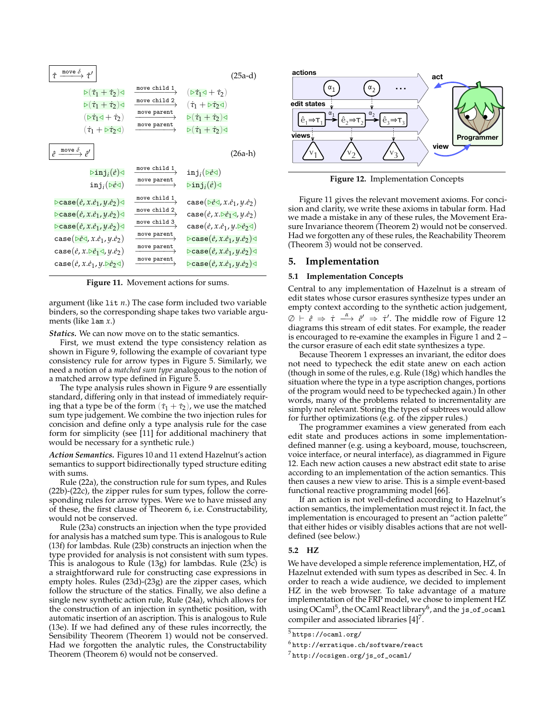| move $\delta$ $\hat{\tau}'$                                                   |                                                                                                                                                                                                                                                                                                                                                                                   | $2$ ba-d)                                                                     |
|-------------------------------------------------------------------------------|-----------------------------------------------------------------------------------------------------------------------------------------------------------------------------------------------------------------------------------------------------------------------------------------------------------------------------------------------------------------------------------|-------------------------------------------------------------------------------|
| $\rhd(\tau_1+\tau_2) \triangleleft$                                           | move child 1                                                                                                                                                                                                                                                                                                                                                                      | $(\triangleright \dot{\tau}_1 \triangleleft + \dot{\tau}_2)$                  |
| $\rhd (\tau_1 + \tau_2) \triangleleft$                                        | move child 2                                                                                                                                                                                                                                                                                                                                                                      | $(\dot{\tau}_1 + \triangleright \dot{\tau}_2 \triangleleft)$                  |
| $(\triangleright \tau_1 \triangleleft + \tau_2)$                              | move parent                                                                                                                                                                                                                                                                                                                                                                       | $\triangleright$ ( $\tau_1 + \tau_2$ ) $\triangleleft$                        |
| $(\dot{\tau}_1 + \triangleright \dot{\tau}_2 \triangleleft)$                  | move parent                                                                                                                                                                                                                                                                                                                                                                       | $\triangleright$ ( $\dot{\tau}_1 + \dot{\tau}_2$ )d                           |
| $\xrightarrow{\text{move }\delta} \hat{e}'$                                   |                                                                                                                                                                                                                                                                                                                                                                                   | (26a-h)                                                                       |
| $\triangleright$ inj $_i(\dot{e})$ <                                          | move child $1$                                                                                                                                                                                                                                                                                                                                                                    | $\text{inj}_i(\triangleright\dot{e}\triangleleft)$                            |
| $\text{inj}_i(\triangleright\dot{e}\triangleleft)$                            | move parent                                                                                                                                                                                                                                                                                                                                                                       | $\triangleright$ inj $_i(\dot{e})$                                            |
| $\triangleright$ case $(\dot{e}, x . \dot{e}_1, y . \dot{e}_2) \triangleleft$ | move child 1                                                                                                                                                                                                                                                                                                                                                                      | $case(\overline{\triangleright} \overline{e} \triangleleft, x.e_1, y.e_2)$    |
| $\triangleright$ case $(\dot{e}, x . \dot{e}_1, y . \dot{e}_2) \triangleleft$ | move child $2$                                                                                                                                                                                                                                                                                                                                                                    | $case(\dot{e}, x. \rightarrow e_1 \triangleleft, y. \dot{e}_2)$               |
| $\triangleright$ case $(\dot{e}, x . \dot{e}_1, y . \dot{e}_2) \triangleleft$ | $\begin{picture}(150,10) \put(0,0){\dashbox{0.5}(10,0){ }} \put(150,0){\circle{10}} \put(150,0){\circle{10}} \put(150,0){\circle{10}} \put(150,0){\circle{10}} \put(150,0){\circle{10}} \put(150,0){\circle{10}} \put(150,0){\circle{10}} \put(150,0){\circle{10}} \put(150,0){\circle{10}} \put(150,0){\circle{10}} \put(150,0){\circle{10}} \put(150,0){\circle{10}} \put(150,$ | $case(e, x.e_1, y.e_2 \triangleleft)$                                         |
| $case(\overline{\trianglerighteq}, x.e. y.e. z)$                              | move parent                                                                                                                                                                                                                                                                                                                                                                       | $\triangleright$ case $(\dot{e}, x . \dot{e}_1, y . \dot{e}_2) \triangleleft$ |
| $case(e, x. \triangleright e_1 \triangleleft, y. e_2)$                        | move parent                                                                                                                                                                                                                                                                                                                                                                       | $\triangleright$ case $(\dot{e}, x . \dot{e}_1, y . \dot{e}_2) \triangleleft$ |
| $case(e, x.e_1, y.e_2 \triangleleft)$                                         | move parent                                                                                                                                                                                                                                                                                                                                                                       | $\triangleright$ case $(\dot{e}, x . \dot{e}_1, y . \dot{e}_2) \triangleleft$ |

<span id="page-9-1"></span>**Figure 11.** Movement actions for sums.

argument (like lit *n*.) The case form included two variable binders, so the corresponding shape takes two variable arguments (like lam *x*.)

*Statics.* We can now move on to the static semantics.

First, we must extend the type consistency relation as shown in Figure [9,](#page-8-2) following the example of covariant type consistency rule for arrow types in Figure [5.](#page-2-5) Similarly, we need a notion of a *matched sum type* analogous to the notion of a matched arrow type defined in Figure [5.](#page-2-5)

The type analysis rules shown in Figure [9](#page-8-2) are essentially standard, differing only in that instead of immediately requiring that a type be of the form  $(\dot{\tau}_1 + \dot{\tau}_2)$ , we use the matched sum type judgement. We combine the two injection rules for concision and define only a type analysis rule for the case form for simplicity (see [\[11\]](#page-13-16) for additional machinery that would be necessary for a synthetic rule.)

*Action Semantics.* Figures [10](#page-8-3) and [11](#page-9-1) extend Hazelnut's action semantics to support bidirectionally typed structure editing with sums.

Rule [\(22a\)](#page-8-4), the construction rule for sum types, and Rules [\(22b\)](#page-8-5)-[\(22c\)](#page-8-6), the zipper rules for sum types, follow the corresponding rules for arrow types. Were we to have missed any of these, the first clause of Theorem [6,](#page-6-5) i.e. Constructability, would not be conserved.

Rule [\(23a\)](#page-8-7) constructs an injection when the type provided for analysis has a matched sum type. This is analogous to Rule [\(13f\)](#page-6-6) for lambdas. Rule [\(23b\)](#page-8-8) constructs an injection when the type provided for analysis is not consistent with sum types. This is analogous to Rule  $(13g)$  for lambdas. Rule  $(23c)$  is a straightforward rule for constructing case expressions in empty holes. Rules [\(23d\)](#page-8-10)-[\(23g\)](#page-8-11) are the zipper cases, which follow the structure of the statics. Finally, we also define a single new synthetic action rule, Rule [\(24a\)](#page-8-12), which allows for the construction of an injection in synthetic position, with automatic insertion of an ascription. This is analogous to Rule [\(13e\)](#page-6-0). If we had defined any of these rules incorrectly, the Sensibility Theorem (Theorem [1\)](#page-4-9) would not be conserved. Had we forgotten the analytic rules, the Constructability Theorem (Theorem [6\)](#page-6-5) would not be conserved.



<span id="page-9-2"></span>**Figure 12.** Implementation Concepts

Figure [11](#page-9-1) gives the relevant movement axioms. For concision and clarity, we write these axioms in tabular form. Had we made a mistake in any of these rules, the Movement Erasure Invariance theorem (Theorem [2\)](#page-5-2) would not be conserved. Had we forgotten any of these rules, the Reachability Theorem (Theorem [3\)](#page-5-4) would not be conserved.

#### <span id="page-9-0"></span>**5. Implementation**

#### **5.1 Implementation Concepts**

Central to any implementation of Hazelnut is a stream of edit states whose cursor erasures synthesize types under an empty context according to the synthetic action judgement,  $\varnothing \vdash \hat{e} \Rightarrow \tau \stackrel{\alpha}{\longrightarrow} \hat{e}' \Rightarrow \tau'.$  The middle row of Figure [12](#page-9-2) diagrams this stream of edit states. For example, the reader is encouraged to re-examine the examples in Figure [1](#page-1-1) and [2](#page-1-3) – the cursor erasure of each edit state synthesizes a type.

Because Theorem [1](#page-4-9) expresses an invariant, the editor does not need to typecheck the edit state anew on each action (though in some of the rules, e.g. Rule [\(18g\)](#page-7-3) which handles the situation where the type in a type ascription changes, portions of the program would need to be typechecked again.) In other words, many of the problems related to incrementality are simply not relevant. Storing the types of subtrees would allow for further optimizations (e.g. of the zipper rules.)

The programmer examines a view generated from each edit state and produces actions in some implementationdefined manner (e.g. using a keyboard, mouse, touchscreen, voice interface, or neural interface), as diagrammed in Figure [12.](#page-9-2) Each new action causes a new abstract edit state to arise according to an implementation of the action semantics. This then causes a new view to arise. This is a simple event-based functional reactive programming model [\[66\]](#page-14-13).

If an action is not well-defined according to Hazelnut's action semantics, the implementation must reject it. In fact, the implementation is encouraged to present an "action palette" that either hides or visibly disables actions that are not welldefined (see below.)

#### **5.2 HZ**

We have developed a simple reference implementation, HZ, of Hazelnut extended with sum types as described in Sec. [4.](#page-8-0) In order to reach a wide audience, we decided to implement HZ in the web browser. To take advantage of a mature implementation of the FRP model, we chose to implement HZ using OCaml<sup>[5](#page-9-3)</sup>, the OCaml React library<sup>[6](#page-9-4)</sup>, and the js\_of\_ocam1 compiler and associated libraries  $[4]^7$  $[4]^7$  $[4]^7$ .

<span id="page-9-3"></span> $5$  <https://ocaml.org/>  $\,$ 

<span id="page-9-4"></span><sup>6</sup> <http://erratique.ch/software/react>

<span id="page-9-5"></span><sup>7</sup> [http://ocsigen.org/js\\_of\\_ocaml/](http://ocsigen.org/js_of_ocaml/)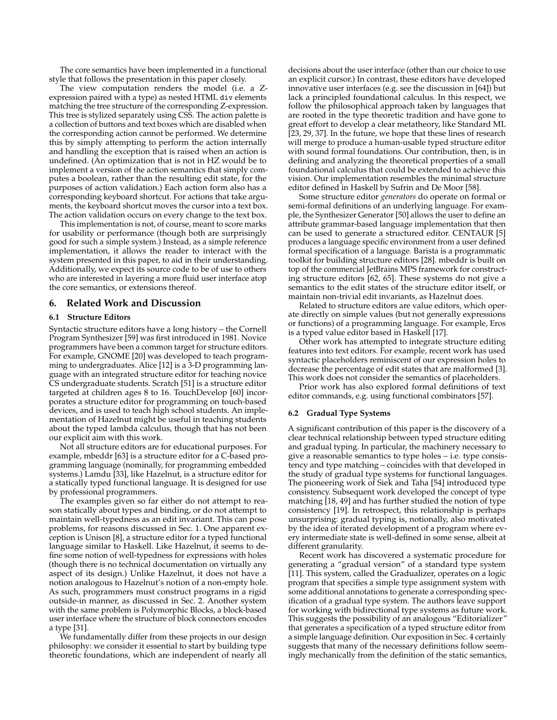The core semantics have been implemented in a functional style that follows the presentation in this paper closely.

The view computation renders the model (i.e. a Zexpression paired with a type) as nested HTML div elements matching the tree structure of the corresponding Z-expression. This tree is stylized separately using CSS. The action palette is a collection of buttons and text boxes which are disabled when the corresponding action cannot be performed. We determine this by simply attempting to perform the action internally and handling the exception that is raised when an action is undefined. (An optimization that is not in HZ would be to implement a version of the action semantics that simply computes a boolean, rather than the resulting edit state, for the purposes of action validation.) Each action form also has a corresponding keyboard shortcut. For actions that take arguments, the keyboard shortcut moves the cursor into a text box. The action validation occurs on every change to the text box.

This implementation is not, of course, meant to score marks for usability or performance (though both are surprisingly good for such a simple system.) Instead, as a simple reference implementation, it allows the reader to interact with the system presented in this paper, to aid in their understanding. Additionally, we expect its source code to be of use to others who are interested in layering a more fluid user interface atop the core semantics, or extensions thereof.

#### <span id="page-10-0"></span>**6. Related Work and Discussion**

#### **6.1 Structure Editors**

Syntactic structure editors have a long history – the Cornell Program Synthesizer [\[59\]](#page-14-3) was first introduced in 1981. Novice programmers have been a common target for structure editors. For example, GNOME [\[20\]](#page-13-20) was developed to teach programming to undergraduates. Alice [\[12\]](#page-13-21) is a 3-D programming language with an integrated structure editor for teaching novice CS undergraduate students. Scratch [\[51\]](#page-14-4) is a structure editor targeted at children ages 8 to 16. TouchDevelop [\[60\]](#page-14-6) incorporates a structure editor for programming on touch-based devices, and is used to teach high school students. An implementation of Hazelnut might be useful in teaching students about the typed lambda calculus, though that has not been our explicit aim with this work.

Not all structure editors are for educational purposes. For example, mbeddr [\[63\]](#page-14-5) is a structure editor for a C-based programming language (nominally, for programming embedded systems.) Lamdu [\[33\]](#page-13-9), like Hazelnut, is a structure editor for a statically typed functional language. It is designed for use by professional programmers.

The examples given so far either do not attempt to reason statically about types and binding, or do not attempt to maintain well-typedness as an edit invariant. This can pose problems, for reasons discussed in Sec. [1.](#page-0-1) One apparent exception is Unison [\[8\]](#page-13-22), a structure editor for a typed functional language similar to Haskell. Like Hazelnut, it seems to define some notion of well-typedness for expressions with holes (though there is no technical documentation on virtually any aspect of its design.) Unlike Hazelnut, it does not have a notion analogous to Hazelnut's notion of a non-empty hole. As such, programmers must construct programs in a rigid outside-in manner, as discussed in Sec. [2.](#page-1-0) Another system with the same problem is Polymorphic Blocks, a block-based user interface where the structure of block connectors encodes a type [\[31\]](#page-13-23).

We fundamentally differ from these projects in our design philosophy: we consider it essential to start by building type theoretic foundations, which are independent of nearly all decisions about the user interface (other than our choice to use an explicit cursor.) In contrast, these editors have developed innovative user interfaces (e.g. see the discussion in [\[64\]](#page-14-14)) but lack a principled foundational calculus. In this respect, we follow the philosophical approach taken by languages that are rooted in the type theoretic tradition and have gone to great effort to develop a clear metatheory, like Standard ML [\[23,](#page-13-24) [29,](#page-13-25) [37\]](#page-13-26). In the future, we hope that these lines of research will merge to produce a human-usable typed structure editor with sound formal foundations. Our contribution, then, is in defining and analyzing the theoretical properties of a small foundational calculus that could be extended to achieve this vision. Our implementation resembles the minimal structure editor defined in Haskell by Sufrin and De Moor [\[58\]](#page-14-15).

Some structure editor *generators* do operate on formal or semi-formal definitions of an underlying language. For example, the Synthesizer Generator [\[50\]](#page-14-16) allows the user to define an attribute grammar-based language implementation that then can be used to generate a structured editor. CENTAUR [\[5\]](#page-13-27) produces a language specific environment from a user defined formal specification of a language. Barista is a programmatic toolkit for building structure editors [\[28\]](#page-13-28). mbeddr is built on top of the commercial JetBrains MPS framework for constructing structure editors [\[62,](#page-14-17) [65\]](#page-14-18). These systems do not give a semantics to the edit states of the structure editor itself, or maintain non-trivial edit invariants, as Hazelnut does.

Related to structure editors are value editors, which operate directly on simple values (but not generally expressions or functions) of a programming language. For example, Eros is a typed value editor based in Haskell [\[17\]](#page-13-29).

Other work has attempted to integrate structure editing features into text editors. For example, recent work has used syntactic placeholders reminiscent of our expression holes to decrease the percentage of edit states that are malformed [\[3\]](#page-13-30). This work does not consider the semantics of placeholders.

Prior work has also explored formal definitions of text editor commands, e.g. using functional combinators [\[57\]](#page-14-19).

#### **6.2 Gradual Type Systems**

A significant contribution of this paper is the discovery of a clear technical relationship between typed structure editing and gradual typing. In particular, the machinery necessary to give a reasonable semantics to type holes – i.e. type consistency and type matching – coincides with that developed in the study of gradual type systems for functional languages. The pioneering work of Siek and Taha [\[54\]](#page-14-8) introduced type consistency. Subsequent work developed the concept of type matching [\[18,](#page-13-17) [49\]](#page-14-9) and has further studied the notion of type consistency [\[19\]](#page-13-31). In retrospect, this relationship is perhaps unsurprising: gradual typing is, notionally, also motivated by the idea of iterated development of a program where every intermediate state is well-defined in some sense, albeit at different granularity.

Recent work has discovered a systematic procedure for generating a "gradual version" of a standard type system [\[11\]](#page-13-16). This system, called the Gradualizer, operates on a logic program that specifies a simple type assignment system with some additional annotations to generate a corresponding specification of a gradual type system. The authors leave support for working with bidirectional type systems as future work. This suggests the possibility of an analogous "Editorializer" that generates a specification of a typed structure editor from a simple language definition. Our exposition in Sec. [4](#page-8-0) certainly suggests that many of the necessary definitions follow seemingly mechanically from the definition of the static semantics,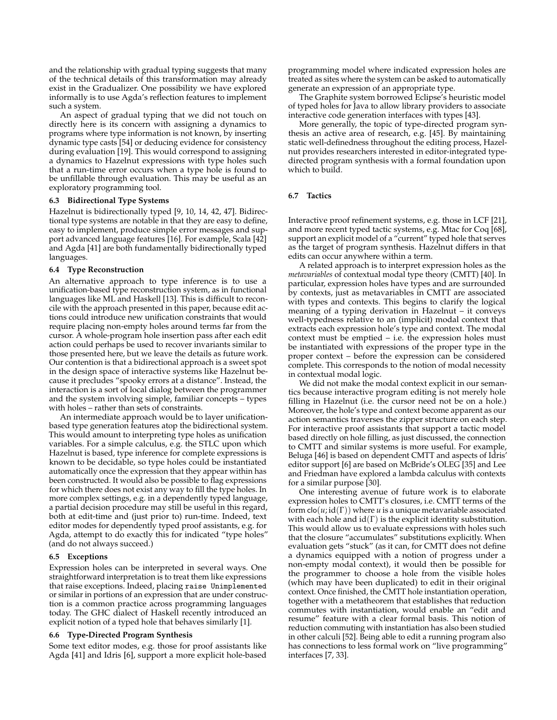and the relationship with gradual typing suggests that many of the technical details of this transformation may already exist in the Gradualizer. One possibility we have explored informally is to use Agda's reflection features to implement such a system.

An aspect of gradual typing that we did not touch on directly here is its concern with assigning a dynamics to programs where type information is not known, by inserting dynamic type casts [\[54\]](#page-14-8) or deducing evidence for consistency during evaluation [\[19\]](#page-13-31). This would correspond to assigning a dynamics to Hazelnut expressions with type holes such that a run-time error occurs when a type hole is found to be unfillable through evaluation. This may be useful as an exploratory programming tool.

#### **6.3 Bidirectional Type Systems**

Hazelnut is bidirectionally typed [\[9,](#page-13-13) [10,](#page-13-14) [14,](#page-13-15) [42,](#page-13-32) [47\]](#page-14-7). Bidirectional type systems are notable in that they are easy to define, easy to implement, produce simple error messages and support advanced language features [\[16\]](#page-13-33). For example, Scala [\[42\]](#page-13-32) and Agda [\[41\]](#page-13-11) are both fundamentally bidirectionally typed languages.

#### **6.4 Type Reconstruction**

An alternative approach to type inference is to use a unification-based type reconstruction system, as in functional languages like ML and Haskell [\[13\]](#page-13-34). This is difficult to reconcile with the approach presented in this paper, because edit actions could introduce new unification constraints that would require placing non-empty holes around terms far from the cursor. A whole-program hole insertion pass after each edit action could perhaps be used to recover invariants similar to those presented here, but we leave the details as future work. Our contention is that a bidirectional approach is a sweet spot in the design space of interactive systems like Hazelnut because it precludes "spooky errors at a distance". Instead, the interaction is a sort of local dialog between the programmer and the system involving simple, familiar concepts – types with holes – rather than sets of constraints.

An intermediate approach would be to layer unificationbased type generation features atop the bidirectional system. This would amount to interpreting type holes as unification variables. For a simple calculus, e.g. the STLC upon which Hazelnut is based, type inference for complete expressions is known to be decidable, so type holes could be instantiated automatically once the expression that they appear within has been constructed. It would also be possible to flag expressions for which there does not exist any way to fill the type holes. In more complex settings, e.g. in a dependently typed language, a partial decision procedure may still be useful in this regard, both at edit-time and (just prior to) run-time. Indeed, text editor modes for dependently typed proof assistants, e.g. for Agda, attempt to do exactly this for indicated "type holes" (and do not always succeed.)

#### **6.5 Exceptions**

Expression holes can be interpreted in several ways. One straightforward interpretation is to treat them like expressions that raise exceptions. Indeed, placing raise Unimplemented or similar in portions of an expression that are under construction is a common practice across programming languages today. The GHC dialect of Haskell recently introduced an explicit notion of a typed hole that behaves similarly [\[1\]](#page-13-35).

#### **6.6 Type-Directed Program Synthesis**

Some text editor modes, e.g. those for proof assistants like Agda [\[41\]](#page-13-11) and Idris [\[6\]](#page-13-36), support a more explicit hole-based programming model where indicated expression holes are treated as sites where the system can be asked to automatically generate an expression of an appropriate type.

The Graphite system borrowed Eclipse's heuristic model of typed holes for Java to allow library providers to associate interactive code generation interfaces with types [\[43\]](#page-13-5).

More generally, the topic of type-directed program synthesis an active area of research, e.g. [\[45\]](#page-13-37). By maintaining static well-definedness throughout the editing process, Hazelnut provides researchers interested in editor-integrated typedirected program synthesis with a formal foundation upon which to build.

#### **6.7 Tactics**

Interactive proof refinement systems, e.g. those in LCF [\[21\]](#page-13-38), and more recent typed tactic systems, e.g. Mtac for Coq [\[68\]](#page-14-20), support an explicit model of a "current" typed hole that serves as the target of program synthesis. Hazelnut differs in that edits can occur anywhere within a term.

A related approach is to interpret expression holes as the *metavariables* of contextual modal type theory (CMTT) [\[40\]](#page-13-39). In particular, expression holes have types and are surrounded by contexts, just as metavariables in CMTT are associated with types and contexts. This begins to clarify the logical meaning of a typing derivation in Hazelnut – it conveys well-typedness relative to an (implicit) modal context that extracts each expression hole's type and context. The modal context must be emptied – i.e. the expression holes must be instantiated with expressions of the proper type in the proper context – before the expression can be considered complete. This corresponds to the notion of modal necessity in contextual modal logic.

We did not make the modal context explicit in our semantics because interactive program editing is not merely hole filling in Hazelnut (i.e. the cursor need not be on a hole.) Moreover, the hole's type and context become apparent as our action semantics traverses the zipper structure on each step. For interactive proof assistants that support a tactic model based directly on hole filling, as just discussed, the connection to CMTT and similar systems is more useful. For example, Beluga [\[46\]](#page-14-21) is based on dependent CMTT and aspects of Idris' editor support [\[6\]](#page-13-36) are based on McBride's OLEG [\[35\]](#page-13-40) and Lee and Friedman have explored a lambda calculus with contexts for a similar purpose [\[30\]](#page-13-41).

One interesting avenue of future work is to elaborate expression holes to CMTT's closures, i.e. CMTT terms of the form  $\textsf{clo}(u;\textsf{id}(\Gamma))$  where *u* is a unique metavariable associated with each hole and  $id(\Gamma)$  is the explicit identity substitution. This would allow us to evaluate expressions with holes such that the closure "accumulates" substitutions explicitly. When evaluation gets "stuck" (as it can, for CMTT does not define a dynamics equipped with a notion of progress under a non-empty modal context), it would then be possible for the programmer to choose a hole from the visible holes (which may have been duplicated) to edit in their original context. Once finished, the CMTT hole instantiation operation, together with a metatheorem that establishes that reduction commutes with instantiation, would enable an "edit and resume" feature with a clear formal basis. This notion of reduction commuting with instantiation has also been studied in other calculi [\[52\]](#page-14-22). Being able to edit a running program also has connections to less formal work on "live programming" interfaces [\[7,](#page-13-42) [33\]](#page-13-9).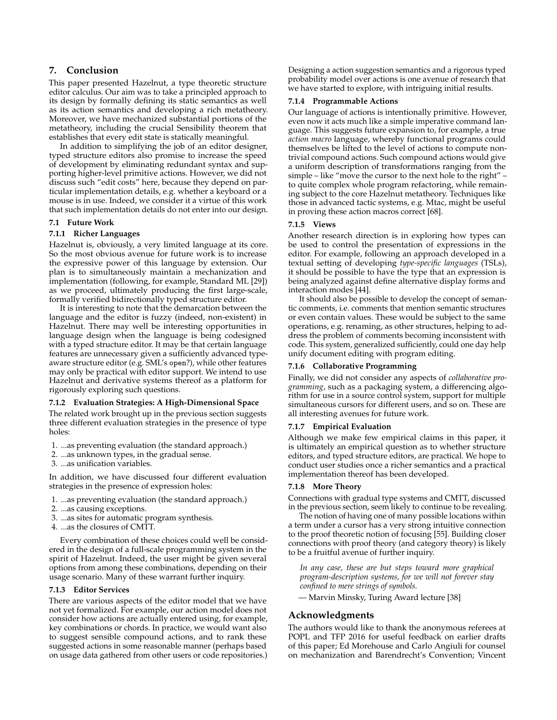## <span id="page-12-0"></span>**7. Conclusion**

This paper presented Hazelnut, a type theoretic structure editor calculus. Our aim was to take a principled approach to its design by formally defining its static semantics as well as its action semantics and developing a rich metatheory. Moreover, we have mechanized substantial portions of the metatheory, including the crucial Sensibility theorem that establishes that every edit state is statically meaningful.

In addition to simplifying the job of an editor designer, typed structure editors also promise to increase the speed of development by eliminating redundant syntax and supporting higher-level primitive actions. However, we did not discuss such "edit costs" here, because they depend on particular implementation details, e.g. whether a keyboard or a mouse is in use. Indeed, we consider it a virtue of this work that such implementation details do not enter into our design.

#### **7.1 Future Work**

#### **7.1.1 Richer Languages**

Hazelnut is, obviously, a very limited language at its core. So the most obvious avenue for future work is to increase the expressive power of this language by extension. Our plan is to simultaneously maintain a mechanization and implementation (following, for example, Standard ML [\[29\]](#page-13-25)) as we proceed, ultimately producing the first large-scale, formally verified bidirectionally typed structure editor.

It is interesting to note that the demarcation between the language and the editor is fuzzy (indeed, non-existent) in Hazelnut. There may well be interesting opportunities in language design when the language is being codesigned with a typed structure editor. It may be that certain language features are unnecessary given a sufficiently advanced typeaware structure editor (e.g. SML's open?), while other features may only be practical with editor support. We intend to use Hazelnut and derivative systems thereof as a platform for rigorously exploring such questions.

#### **7.1.2 Evaluation Strategies: A High-Dimensional Space**

The related work brought up in the previous section suggests three different evaluation strategies in the presence of type holes:

- 1. ...as preventing evaluation (the standard approach.)
- 2. ...as unknown types, in the gradual sense.
- 3. ...as unification variables.

In addition, we have discussed four different evaluation strategies in the presence of expression holes:

- 1. ...as preventing evaluation (the standard approach.)
- 2. ...as causing exceptions.
- 3. ...as sites for automatic program synthesis.
- 4. ...as the closures of CMTT.

Every combination of these choices could well be considered in the design of a full-scale programming system in the spirit of Hazelnut. Indeed, the user might be given several options from among these combinations, depending on their usage scenario. Many of these warrant further inquiry.

#### **7.1.3 Editor Services**

There are various aspects of the editor model that we have not yet formalized. For example, our action model does not consider how actions are actually entered using, for example, key combinations or chords. In practice, we would want also to suggest sensible compound actions, and to rank these suggested actions in some reasonable manner (perhaps based on usage data gathered from other users or code repositories.)

Designing a action suggestion semantics and a rigorous typed probability model over actions is one avenue of research that we have started to explore, with intriguing initial results.

#### **7.1.4 Programmable Actions**

Our language of actions is intentionally primitive. However, even now it acts much like a simple imperative command language. This suggests future expansion to, for example, a true *action macro* language, whereby functional programs could themselves be lifted to the level of actions to compute nontrivial compound actions. Such compound actions would give a uniform description of transformations ranging from the simple – like "move the cursor to the next hole to the right" – to quite complex whole program refactoring, while remaining subject to the core Hazelnut metatheory. Techniques like those in advanced tactic systems, e.g. Mtac, might be useful in proving these action macros correct [\[68\]](#page-14-20).

#### **7.1.5 Views**

Another research direction is in exploring how types can be used to control the presentation of expressions in the editor. For example, following an approach developed in a textual setting of developing *type-specific languages* (TSLs), it should be possible to have the type that an expression is being analyzed against define alternative display forms and interaction modes [\[44\]](#page-13-43).

It should also be possible to develop the concept of semantic comments, i.e. comments that mention semantic structures or even contain values. These would be subject to the same operations, e.g. renaming, as other structures, helping to address the problem of comments becoming inconsistent with code. This system, generalized sufficiently, could one day help unify document editing with program editing.

#### **7.1.6 Collaborative Programming**

Finally, we did not consider any aspects of *collaborative programming*, such as a packaging system, a differencing algorithm for use in a source control system, support for multiple simultaneous cursors for different users, and so on. These are all interesting avenues for future work.

#### **7.1.7 Empirical Evaluation**

Although we make few empirical claims in this paper, it is ultimately an empirical question as to whether structure editors, and typed structure editors, are practical. We hope to conduct user studies once a richer semantics and a practical implementation thereof has been developed.

#### **7.1.8 More Theory**

Connections with gradual type systems and CMTT, discussed in the previous section, seem likely to continue to be revealing.

The notion of having one of many possible locations within a term under a cursor has a very strong intuitive connection to the proof theoretic notion of focusing [\[55\]](#page-14-10). Building closer connections with proof theory (and category theory) is likely to be a fruitful avenue of further inquiry.

*In any case, these are but steps toward more graphical program-description systems, for we will not forever stay confined to mere strings of symbols.*

— Marvin Minsky, Turing Award lecture [\[38\]](#page-13-44)

### **Acknowledgments**

The authors would like to thank the anonymous referees at POPL and TFP 2016 for useful feedback on earlier drafts of this paper; Ed Morehouse and Carlo Angiuli for counsel on mechanization and Barendrecht's Convention; Vincent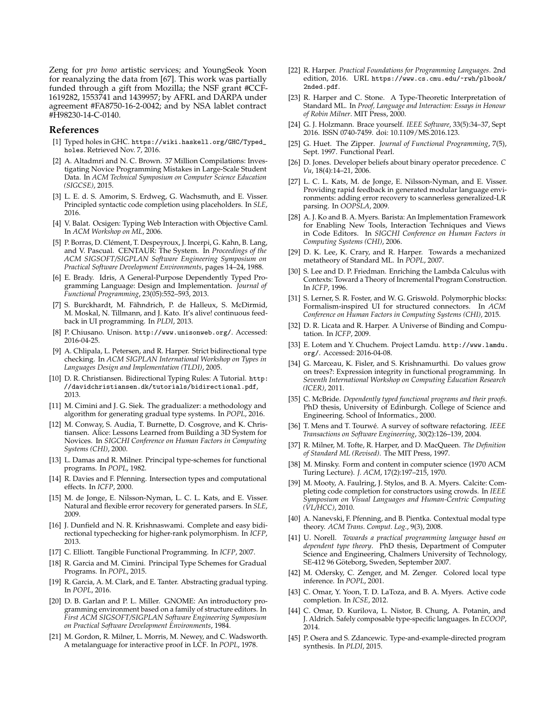Zeng for *pro bono* artistic services; and YoungSeok Yoon for reanalyzing the data from [\[67\]](#page-14-1). This work was partially funded through a gift from Mozilla; the NSF grant #CCF-1619282, 1553741 and 1439957; by AFRL and DARPA under agreement #FA8750-16-2-0042; and by NSA lablet contract #H98230-14-C-0140.

#### **References**

- <span id="page-13-35"></span>[1] Typed holes in GHC. [https://wiki.haskell.org/GHC/Typed\\_](https://wiki.haskell.org/GHC/Typed_holes) [holes](https://wiki.haskell.org/GHC/Typed_holes). Retrieved Nov. 7, 2016.
- <span id="page-13-0"></span>[2] A. Altadmri and N. C. Brown. 37 Million Compilations: Investigating Novice Programming Mistakes in Large-Scale Student Data. In *ACM Technical Symposium on Computer Science Education (SIGCSE)*, 2015.
- <span id="page-13-30"></span>[3] L. E. d. S. Amorim, S. Erdweg, G. Wachsmuth, and E. Visser. Principled syntactic code completion using placeholders. In *SLE*, 2016.
- <span id="page-13-19"></span>[4] V. Balat. Ocsigen: Typing Web Interaction with Objective Caml. In *ACM Workshop on ML*, 2006.
- <span id="page-13-27"></span>[5] P. Borras, D. Clément, T. Despeyroux, J. Incerpi, G. Kahn, B. Lang, and V. Pascual. CENTAUR: The System. In *Proceedings of the ACM SIGSOFT/SIGPLAN Software Engineering Symposium on Practical Software Development Environments*, pages 14–24, 1988.
- <span id="page-13-36"></span>[6] E. Brady. Idris, A General-Purpose Dependently Typed Programming Language: Design and Implementation. *Journal of Functional Programming*, 23(05):552–593, 2013.
- <span id="page-13-42"></span>[7] S. Burckhardt, M. Fähndrich, P. de Halleux, S. McDirmid, M. Moskal, N. Tillmann, and J. Kato. It's alive! continuous feedback in UI programming. In *PLDI*, 2013.
- <span id="page-13-22"></span>[8] P. Chiusano. Unison. <http://www.unisonweb.org/>. Accessed: 2016-04-25.
- <span id="page-13-13"></span>[9] A. Chlipala, L. Petersen, and R. Harper. Strict bidirectional type checking. In *ACM SIGPLAN International Workshop on Types in Languages Design and Implementation (TLDI)*, 2005.
- <span id="page-13-14"></span>[10] D. R. Christiansen. Bidirectional Typing Rules: A Tutorial. [http:](http://davidchristiansen.dk/tutorials/bidirectional.pdf) [//davidchristiansen.dk/tutorials/bidirectional.pdf](http://davidchristiansen.dk/tutorials/bidirectional.pdf), 2013.
- <span id="page-13-16"></span>[11] M. Cimini and J. G. Siek. The gradualizer: a methodology and algorithm for generating gradual type systems. In *POPL*, 2016.
- <span id="page-13-21"></span>[12] M. Conway, S. Audia, T. Burnette, D. Cosgrove, and K. Christiansen. Alice: Lessons Learned from Building a 3D System for Novices. In *SIGCHI Conference on Human Factors in Computing Systems (CHI)*, 2000.
- <span id="page-13-34"></span>[13] L. Damas and R. Milner. Principal type-schemes for functional programs. In *POPL*, 1982.
- <span id="page-13-15"></span>[14] R. Davies and F. Pfenning. Intersection types and computational effects. In *ICFP*, 2000.
- <span id="page-13-7"></span>[15] M. de Jonge, E. Nilsson-Nyman, L. C. L. Kats, and E. Visser. Natural and flexible error recovery for generated parsers. In *SLE*, 2009.
- <span id="page-13-33"></span>[16] J. Dunfield and N. R. Krishnaswami. Complete and easy bidirectional typechecking for higher-rank polymorphism. In *ICFP*, 2013.
- <span id="page-13-29"></span>[17] C. Elliott. Tangible Functional Programming. In *ICFP*, 2007.
- <span id="page-13-17"></span>[18] R. Garcia and M. Cimini. Principal Type Schemes for Gradual Programs. In *POPL*, 2015.
- <span id="page-13-31"></span>[19] R. Garcia, A. M. Clark, and E. Tanter. Abstracting gradual typing. In *POPL*, 2016.
- <span id="page-13-20"></span>[20] D. B. Garlan and P. L. Miller. GNOME: An introductory programming environment based on a family of structure editors. In *First ACM SIGSOFT/SIGPLAN Software Engineering Symposium on Practical Software Development Environments*, 1984.
- <span id="page-13-38"></span>[21] M. Gordon, R. Milner, L. Morris, M. Newey, and C. Wadsworth. A metalanguage for interactive proof in LCF. In *POPL*, 1978.
- <span id="page-13-12"></span>[22] R. Harper. *Practical Foundations for Programming Languages*. 2nd edition, 2016. URL [https://www.cs.cmu.edu/~rwh/plbook/](https://www.cs.cmu.edu/~rwh/plbook/2nded.pdf) [2nded.pdf](https://www.cs.cmu.edu/~rwh/plbook/2nded.pdf).
- <span id="page-13-24"></span>[23] R. Harper and C. Stone. A Type-Theoretic Interpretation of Standard ML. In *Proof, Language and Interaction: Essays in Honour of Robin Milner*. MIT Press, 2000.
- <span id="page-13-2"></span>[24] G. J. Holzmann. Brace yourself. *IEEE Software*, 33(5):34–37, Sept 2016. ISSN 0740-7459. doi: 10.1109/MS.2016.123.
- <span id="page-13-10"></span>[25] G. Huet. The Zipper. *Journal of Functional Programming*, 7(5), Sept. 1997. Functional Pearl.
- <span id="page-13-3"></span>[26] D. Jones. Developer beliefs about binary operator precedence. *C Vu*, 18(4):14–21, 2006.
- <span id="page-13-8"></span>[27] L. C. L. Kats, M. de Jonge, E. Nilsson-Nyman, and E. Visser. Providing rapid feedback in generated modular language environments: adding error recovery to scannerless generalized-LR parsing. In *OOPSLA*, 2009.
- <span id="page-13-28"></span>[28] A. J. Ko and B. A. Myers. Barista: An Implementation Framework for Enabling New Tools, Interaction Techniques and Views in Code Editors. In *SIGCHI Conference on Human Factors in Computing Systems (CHI)*, 2006.
- <span id="page-13-25"></span>[29] D. K. Lee, K. Crary, and R. Harper. Towards a mechanized metatheory of Standard ML. In *POPL*, 2007.
- <span id="page-13-41"></span>[30] S. Lee and D. P. Friedman. Enriching the Lambda Calculus with Contexts: Toward a Theory of Incremental Program Construction. In *ICFP*, 1996.
- <span id="page-13-23"></span>[31] S. Lerner, S. R. Foster, and W. G. Griswold. Polymorphic blocks: Formalism-inspired UI for structured connectors. In *ACM Conference on Human Factors in Computing Systems (CHI)*, 2015.
- <span id="page-13-18"></span>[32] D. R. Licata and R. Harper. A Universe of Binding and Computation. In *ICFP*, 2009.
- <span id="page-13-9"></span>[33] E. Lotem and Y. Chuchem. Project Lamdu. [http://www.lamdu.](http://www.lamdu.org/) [org/](http://www.lamdu.org/). Accessed: 2016-04-08.
- <span id="page-13-1"></span>[34] G. Marceau, K. Fisler, and S. Krishnamurthi. Do values grow on trees?: Expression integrity in functional programming. In *Seventh International Workshop on Computing Education Research (ICER)*, 2011.
- <span id="page-13-40"></span>[35] C. McBride. *Dependently typed functional programs and their proofs*. PhD thesis, University of Edinburgh. College of Science and Engineering. School of Informatics., 2000.
- <span id="page-13-6"></span>[36] T. Mens and T. Tourwé. A survey of software refactoring. IEEE *Transactions on Software Engineering*, 30(2):126–139, 2004.
- <span id="page-13-26"></span>[37] R. Milner, M. Tofte, R. Harper, and D. MacQueen. *The Definition of Standard ML (Revised)*. The MIT Press, 1997.
- <span id="page-13-44"></span>[38] M. Minsky. Form and content in computer science (1970 ACM Turing Lecture). *J. ACM*, 17(2):197–215, 1970.
- <span id="page-13-4"></span>[39] M. Mooty, A. Faulring, J. Stylos, and B. A. Myers. Calcite: Completing code completion for constructors using crowds. In *IEEE Symposium on Visual Languages and Human-Centric Computing (VL/HCC)*, 2010.
- <span id="page-13-39"></span>[40] A. Nanevski, F. Pfenning, and B. Pientka. Contextual modal type theory. *ACM Trans. Comput. Log.*, 9(3), 2008.
- <span id="page-13-11"></span>[41] U. Norell. *Towards a practical programming language based on dependent type theory*. PhD thesis, Department of Computer Science and Engineering, Chalmers University of Technology, SE-412 96 Göteborg, Sweden, September 2007.
- <span id="page-13-32"></span>[42] M. Odersky, C. Zenger, and M. Zenger. Colored local type inference. In *POPL*, 2001.
- <span id="page-13-5"></span>[43] C. Omar, Y. Yoon, T. D. LaToza, and B. A. Myers. Active code completion. In *ICSE*, 2012.
- <span id="page-13-43"></span>[44] C. Omar, D. Kurilova, L. Nistor, B. Chung, A. Potanin, and J. Aldrich. Safely composable type-specific languages. In *ECOOP*, 2014.
- <span id="page-13-37"></span>[45] P. Osera and S. Zdancewic. Type-and-example-directed program synthesis. In *PLDI*, 2015.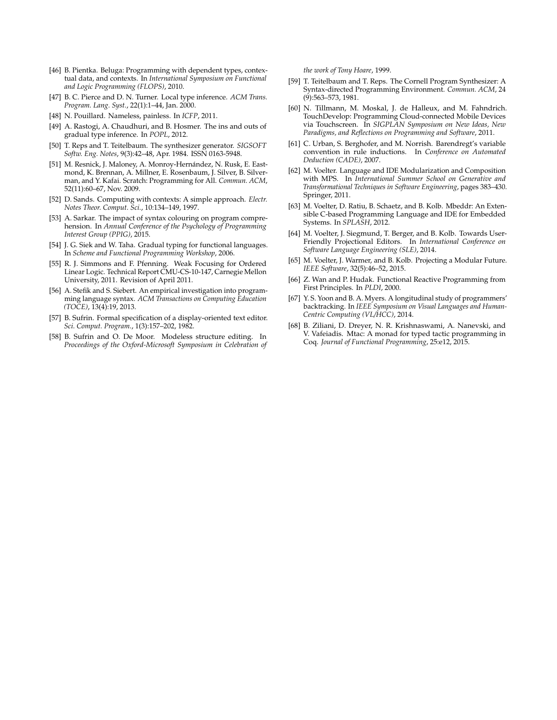- <span id="page-14-21"></span>[46] B. Pientka. Beluga: Programming with dependent types, contextual data, and contexts. In *International Symposium on Functional and Logic Programming (FLOPS)*, 2010.
- <span id="page-14-7"></span>[47] B. C. Pierce and D. N. Turner. Local type inference. *ACM Trans. Program. Lang. Syst.*, 22(1):1–44, Jan. 2000.
- <span id="page-14-12"></span>[48] N. Pouillard. Nameless, painless. In *ICFP*, 2011.
- <span id="page-14-9"></span>[49] A. Rastogi, A. Chaudhuri, and B. Hosmer. The ins and outs of gradual type inference. In *POPL*, 2012.
- <span id="page-14-16"></span>[50] T. Reps and T. Teitelbaum. The synthesizer generator. *SIGSOFT Softw. Eng. Notes*, 9(3):42–48, Apr. 1984. ISSN 0163-5948.
- <span id="page-14-4"></span>[51] M. Resnick, J. Maloney, A. Monroy-Hernández, N. Rusk, E. Eastmond, K. Brennan, A. Millner, E. Rosenbaum, J. Silver, B. Silverman, and Y. Kafai. Scratch: Programming for All. *Commun. ACM*, 52(11):60–67, Nov. 2009.
- <span id="page-14-22"></span>[52] D. Sands. Computing with contexts: A simple approach. *Electr. Notes Theor. Comput. Sci.*, 10:134–149, 1997.
- <span id="page-14-2"></span>[53] A. Sarkar. The impact of syntax colouring on program comprehension. In *Annual Conference of the Psychology of Programming Interest Group (PPIG)*, 2015.
- <span id="page-14-8"></span>[54] J. G. Siek and W. Taha. Gradual typing for functional languages. In *Scheme and Functional Programming Workshop*, 2006.
- <span id="page-14-10"></span>[55] R. J. Simmons and F. Pfenning. Weak Focusing for Ordered Linear Logic. Technical Report CMU-CS-10-147, Carnegie Mellon University, 2011. Revision of April 2011.
- <span id="page-14-0"></span>[56] A. Stefik and S. Siebert. An empirical investigation into programming language syntax. *ACM Transactions on Computing Education (TOCE)*, 13(4):19, 2013.
- <span id="page-14-19"></span>[57] B. Sufrin. Formal specification of a display-oriented text editor. *Sci. Comput. Program.*, 1(3):157–202, 1982.
- <span id="page-14-15"></span>[58] B. Sufrin and O. De Moor. Modeless structure editing. In *Proceedings of the Oxford-Microsoft Symposium in Celebration of*

*the work of Tony Hoare*, 1999.

- <span id="page-14-3"></span>[59] T. Teitelbaum and T. Reps. The Cornell Program Synthesizer: A Syntax-directed Programming Environment. *Commun. ACM*, 24 (9):563–573, 1981.
- <span id="page-14-6"></span>[60] N. Tillmann, M. Moskal, J. de Halleux, and M. Fahndrich. TouchDevelop: Programming Cloud-connected Mobile Devices via Touchscreen. In *SIGPLAN Symposium on New Ideas, New Paradigms, and Reflections on Programming and Software*, 2011.
- <span id="page-14-11"></span>[61] C. Urban, S. Berghofer, and M. Norrish. Barendregt's variable convention in rule inductions. In *Conference on Automated Deduction (CADE)*, 2007.
- <span id="page-14-17"></span>[62] M. Voelter. Language and IDE Modularization and Composition with MPS. In *International Summer School on Generative and Transformational Techniques in Software Engineering*, pages 383–430. Springer, 2011.
- <span id="page-14-5"></span>[63] M. Voelter, D. Ratiu, B. Schaetz, and B. Kolb. Mbeddr: An Extensible C-based Programming Language and IDE for Embedded Systems. In *SPLASH*, 2012.
- <span id="page-14-14"></span>[64] M. Voelter, J. Siegmund, T. Berger, and B. Kolb. Towards User-Friendly Projectional Editors. In *International Conference on Software Language Engineering (SLE)*, 2014.
- <span id="page-14-18"></span>[65] M. Voelter, J. Warmer, and B. Kolb. Projecting a Modular Future. *IEEE Software*, 32(5):46–52, 2015.
- <span id="page-14-13"></span>[66] Z. Wan and P. Hudak. Functional Reactive Programming from First Principles. In *PLDI*, 2000.
- <span id="page-14-1"></span>[67] Y. S. Yoon and B. A. Myers. A longitudinal study of programmers' backtracking. In *IEEE Symposium on Visual Languages and Human-Centric Computing (VL/HCC)*, 2014.
- <span id="page-14-20"></span>[68] B. Ziliani, D. Dreyer, N. R. Krishnaswami, A. Nanevski, and V. Vafeiadis. Mtac: A monad for typed tactic programming in Coq. *Journal of Functional Programming*, 25:e12, 2015.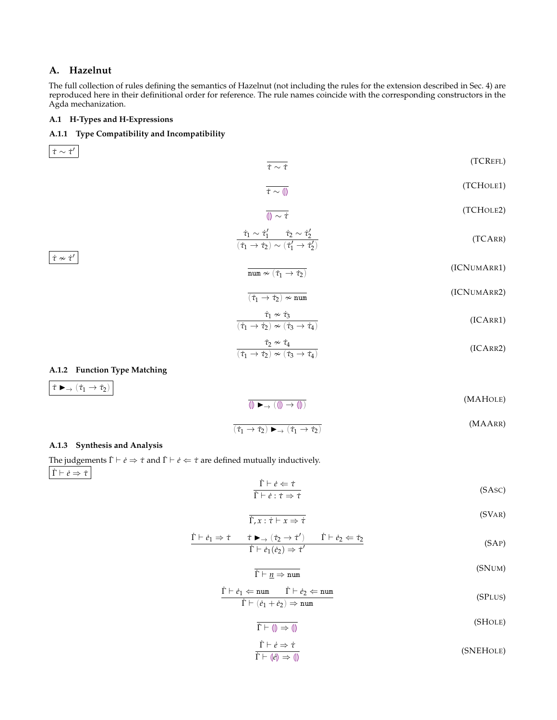## **A. Hazelnut**

The full collection of rules defining the semantics of Hazelnut (not including the rules for the extension described in Sec. [4\)](#page-8-0) are reproduced here in their definitional order for reference. The rule names coincide with the corresponding constructors in the Agda mechanization.

### **A.1 H-Types and H-Expressions**

## **A.1.1 Type Compatibility and Incompatibility**

|--|--|--|

| $\dot{\tau} \sim \dot{\tau}$ | (TCREFL) |
|------------------------------|----------|
|                              |          |

$$
\overline{\tau \sim \text{ }}(\text{TCHOLE1})
$$

$$
\frac{1}{\sqrt{2\pi}}\frac{1}{\sqrt{2\pi}}\left(\frac{\text{TCHOLE2}}{\text{C}}\right)
$$

$$
\frac{\dot{\tau}_1 \sim \dot{\tau}_1' \qquad \dot{\tau}_2 \sim \dot{\tau}_2'}{(\dot{\tau}_1 \to \dot{\tau}_2) \sim (\dot{\tau}_1' \to \dot{\tau}_2')} \tag{TCARR}
$$

$$
\overline{\text{num} \sim (\dot{\tau}_1 \to \dot{\tau}_2)}
$$
 (ICNUMARR1)

$$
(\dot{\tau}_1 \to \dot{\tau}_2) \sim \text{num} \tag{ICNUMARR2}
$$

$$
\frac{\dot{\tau}_1 \nsim \dot{\tau}_3}{(\dot{\tau}_1 \rightarrow \dot{\tau}_2) \nsim (\dot{\tau}_3 \rightarrow \dot{\tau}_4)}
$$
\n(ICARR1)

$$
\frac{\dot{\tau}_2 \nsim \dot{\tau}_4}{(\dot{\tau}_1 \rightarrow \dot{\tau}_2) \nsim (\dot{\tau}_3 \rightarrow \dot{\tau}_4)}
$$
\n(ICARR2)

## **A.1.2 Function Type Matching**

|          |                                                                                                                     | $ \dot{\tau}\blacktriangleright\rightarrow(\dot{\tau}_1\rightarrow\dot{\tau}_2) $ |
|----------|---------------------------------------------------------------------------------------------------------------------|-----------------------------------------------------------------------------------|
| (MAHOLE) | $\langle \mathbb{D} \blacktriangleright \rightarrow (\mathbb{D} \rightarrow \mathbb{D})$                            |                                                                                   |
| (MAARR)  | $(\dot{\tau}_1 \rightarrow \dot{\tau}_2) \blacktriangleright_{\rightarrow} (\dot{\tau}_1 \rightarrow \dot{\tau}_2)$ |                                                                                   |

## **A.1.3 Synthesis and Analysis**

The judgements  $\Gamma \vdash e \Rightarrow \tau$  and  $\Gamma \vdash e \Leftarrow \tau$  are defined mutually inductively.  $\dot{\Gamma} ⊢ \dot{e} ⇒ τ$ 

$$
\dot{\Gamma} \vdash \dot{e} \Leftarrow \dot{\tau} \n\dot{\Gamma} \vdash \dot{e} : \dot{\tau} \Rightarrow \dot{\tau}
$$
\n(SASC)

$$
\overline{\Gamma, x : \tau \vdash x \Rightarrow \tau} \tag{SVAR}
$$

$$
\dot{\Gamma} \vdash \dot{e}_1 \Rightarrow \dot{\tau} \qquad \dot{\tau} \blacktriangleright_{\rightarrow} (\dot{\tau}_2 \rightarrow \dot{\tau}') \qquad \dot{\Gamma} \vdash \dot{e}_2 \Leftarrow \dot{\tau}_2
$$
\n
$$
\dot{\Gamma} \vdash \dot{e}_1 (\dot{e}_2) \Rightarrow \dot{\tau}' \qquad (SAP)
$$

$$
\dot{\Gamma} \vdash \underline{n} \Rightarrow \text{num} \tag{SNUM}
$$

$$
\frac{\dot{\Gamma} \vdash \dot{e}_1 \Leftarrow \text{num} \qquad \dot{\Gamma} \vdash \dot{e}_2 \Leftarrow \text{num}}{\dot{\Gamma} \vdash (\dot{e}_1 + \dot{e}_2) \Rightarrow \text{num}} \tag{SPLUS}
$$

$$
\dot{\Gamma} \vdash \langle \rangle \Rightarrow \langle \rangle \tag{SHOLE}
$$

$$
\dot{\Gamma} \vdash \dot{e} \Rightarrow \dot{\tau} \n\dot{\Gamma} \vdash (\dot{e}) \Rightarrow (\mathbb{I}) \n\mathcal{I} \Rightarrow (\dot{e}) \Rightarrow (\mathbb{I}) \n\mathcal{I} \Rightarrow (\dot{e}) \Rightarrow (\mathbb{I}) \n\mathcal{I} \Rightarrow (\dot{e} \Rightarrow \dot{\tau}) \n\mathcal{I} \Rightarrow (\dot{e} \Rightarrow \dot{\tau}) \n\mathcal{I} \Rightarrow (\dot{e} \Rightarrow \dot{\tau}) \n\mathcal{I} \Rightarrow (\dot{e} \Rightarrow \dot{\tau}) \n\mathcal{I} \Rightarrow (\dot{e} \Rightarrow \dot{\tau}) \n\mathcal{I} \Rightarrow (\dot{e} \Rightarrow \dot{\tau}) \n\mathcal{I} \Rightarrow (\dot{e} \Rightarrow \dot{\tau}) \n\mathcal{I} \Rightarrow (\dot{e} \Rightarrow \dot{\tau}) \n\mathcal{I} \Rightarrow (\dot{e} \Rightarrow \dot{\tau}) \n\mathcal{I} \Rightarrow (\dot{e} \Rightarrow \dot{\tau}) \n\mathcal{I} \Rightarrow (\dot{e} \Rightarrow \dot{\tau}) \n\mathcal{I} \Rightarrow (\dot{e} \Rightarrow \dot{\tau}) \n\mathcal{I} \Rightarrow (\dot{e} \Rightarrow \dot{\tau}) \n\mathcal{I} \Rightarrow (\dot{e} \Rightarrow \dot{\tau}) \n\mathcal{I} \Rightarrow (\dot{e} \Rightarrow \dot{\tau}) \n\mathcal{I} \Rightarrow (\dot{e} \Rightarrow \dot{\tau}) \n\mathcal{I} \Rightarrow (\dot{e} \Rightarrow \dot{\tau}) \n\mathcal{I} \Rightarrow (\dot{e} \Rightarrow \dot{\tau}) \n\mathcal{I} \Rightarrow (\dot{e} \Rightarrow \dot{\tau}) \n\mathcal{I} \Rightarrow (\dot{e} \Rightarrow \dot{\tau}) \n\mathcal{I} \Rightarrow (\dot{e} \Rightarrow \dot{\tau}) \n\mathcal{I} \Rightarrow (\dot{e} \Rightarrow \dot{\tau}) \n\mathcal{I} \Rightarrow (\dot{e} \Rightarrow \dot{\tau}) \n\mathcal{I} \Rightarrow (\dot{\tau}) \n\mathcal{I} \Rightarrow (\dot{\tau}) \n\mathcal{I} \Rightarrow (\dot{\tau}) \n\mathcal{I} \Rightarrow (\dot{\tau}) \n\mathcal{I} \Rightarrow (\dot{\tau}) \n\mathcal{I} \Rightarrow (\dot{\tau}) \n\mathcal{I} \
$$

*τ* ≁ *τ'*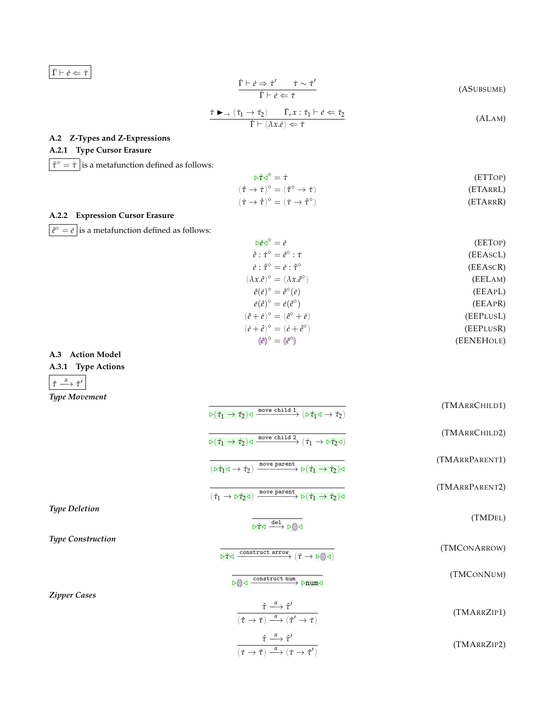$\dot{\Gamma} \vdash \dot{e} \Leftarrow \dot{\tau}$ 

$$
\frac{\dot{\Gamma} \vdash \dot{e} \Rightarrow \dot{\tau}'}{\dot{\Gamma} \vdash \dot{e} \Leftarrow \dot{\tau}} \tag{ASUBSUME}
$$

$$
\frac{\dot{\tau} \blacktriangleright_{\rightarrow} (\dot{\tau}_1 \rightarrow \dot{\tau}_2) \qquad \dot{\Gamma}, x : \dot{\tau}_1 \vdash \dot{e} \Leftarrow \dot{\tau}_2}{\dot{\Gamma} \vdash (\lambda x. \dot{e}) \Leftarrow \dot{\tau}}
$$
\n(ALAM)

## **A.2 Z-Types and Z-Expressions**

## **A.2.1 Type Cursor Erasure**

 $\hat{\tau}^{\diamond} = \dot{\tau}$  is a metafunction defined as follows:

| $\triangleright\dot{\tau}\triangleleft^{\diamond}=\dot{\tau}$                                 | (ETTOP)  |
|-----------------------------------------------------------------------------------------------|----------|
| $(\hat{\tau} \rightarrow \dot{\tau})^{\circ} = (\hat{\tau}^{\circ} \rightarrow \dot{\tau})$   | (ETARRL) |
| $(\dot{\tau}\rightarrow\hat{\tau})^{\circ}=(\dot{\tau}\rightarrow\hat{\tau}^{\circ})^{\circ}$ | (ETARRR) |

## **A.2.2 Expression Cursor Erasure**

 $\hat{e}^{\diamond} = \hat{e}$  is a metafunction defined as follows:

| $\triangleright e \triangleleft^{\diamond} = e$                         | (EETOP)    |
|-------------------------------------------------------------------------|------------|
| $\hat{e}$ : $\dot{\tau}^{\diamond} = \hat{e}^{\diamond}$ : $\dot{\tau}$ | (EEASCL)   |
| $\dot{e}: \hat{\tau}^{\diamond} = \dot{e}: \hat{\tau}^{\diamond}$       | (EEASCR)   |
| $(\lambda x.\hat{e})^{\diamond} = (\lambda x.\hat{e}^{\diamond})$       | (EELAM)    |
| $\hat{e}(\dot{e})^{\diamond} = \hat{e}^{\diamond}(\dot{e})$             | (EEAPL)    |
| $\dot{e}(\hat{e})^{\diamond} = \dot{e}(\hat{e}^{\diamond})$             | (EEAPR)    |
| $(\hat{e}+\dot{e})^{\diamond}=(\hat{e}^{\diamond}+\dot{e})^{\diamond}$  | (EEPLUSL)  |
| $(\dot{e}+\hat{e})^{\diamond}=(\dot{e}+\hat{e}^{\diamond})$             | (EEPLUSR)  |
| $(\hat{e})^{\diamond} = (\hat{e}^{\diamond})$                           | (EENEHOLE) |
|                                                                         |            |

## **A.3 Action Model**

## **A.3.1 Type Actions**

| $\triangleright (\dot{\tau}_1 \rightarrow \dot{\tau}_2) \triangleleft \xrightarrow{\text{move child 1}} (\triangleright \dot{\tau}_1 \triangleleft \rightarrow \dot{\tau}_2)$ | (TMARRCHILD1)                                                                                                                                                                     |
|-------------------------------------------------------------------------------------------------------------------------------------------------------------------------------|-----------------------------------------------------------------------------------------------------------------------------------------------------------------------------------|
| $\triangleright (\dot{\tau}_1 \rightarrow \dot{\tau}_2) \triangleleft \xrightarrow{\text{move child 2}} (\dot{\tau}_1 \rightarrow \triangleright \dot{\tau}_2)$               | (TMARRCHILD2)                                                                                                                                                                     |
| $(\triangleright \dot{\tau}_1 \triangleleft \rightarrow \dot{\tau}_2) \xrightarrow{\text{move parent}} \triangleright (\dot{\tau}_1 \rightarrow \dot{\tau}_2) \triangleleft$  | (TMARRPARENT1)                                                                                                                                                                    |
| $(\dot{\tau}_1 \rightarrow b\dot{\tau}_2) \xrightarrow{\text{move parent}} b(\dot{\tau}_1 \rightarrow \dot{\tau}_2) \triangleleft$                                            | (TMARRPARENT2)                                                                                                                                                                    |
|                                                                                                                                                                               |                                                                                                                                                                                   |
| $\triangleright \dot{\tau} \triangleleft \xrightarrow{\texttt{del}} \triangleright (\ \triangleleft$                                                                          | (TMDEL)                                                                                                                                                                           |
|                                                                                                                                                                               |                                                                                                                                                                                   |
| $\triangleright \dot{\tau} \triangleleft \xrightarrow{\text{construct arrow}} (\dot{\tau} \to \triangleright (\ \cdot\ )$                                                     | (TMCONARROW)                                                                                                                                                                      |
| $\triangleright$ ( ) $\triangleleft$ construct num $\triangleright$ num $\triangleleft$                                                                                       | (TMCONNUM)                                                                                                                                                                        |
|                                                                                                                                                                               |                                                                                                                                                                                   |
| $\overline{(\hat{\tau} \rightarrow \dot{\tau}) \xrightarrow{\alpha} (\hat{\tau}' \rightarrow \dot{\tau})}$                                                                    | (TMARRZIP1)                                                                                                                                                                       |
| $\hat{\tau} \stackrel{\alpha}{\longrightarrow} \hat{\tau}'$                                                                                                                   | (TMARRZIP2)                                                                                                                                                                       |
|                                                                                                                                                                               | $\hat{\tau} \stackrel{\alpha}{\longrightarrow} \hat{\tau}'$<br>$\overline{(\dot{\tau}\rightarrow\hat{\tau})\stackrel{\alpha}{\longrightarrow}(\dot{\tau}\rightarrow\hat{\tau}')}$ |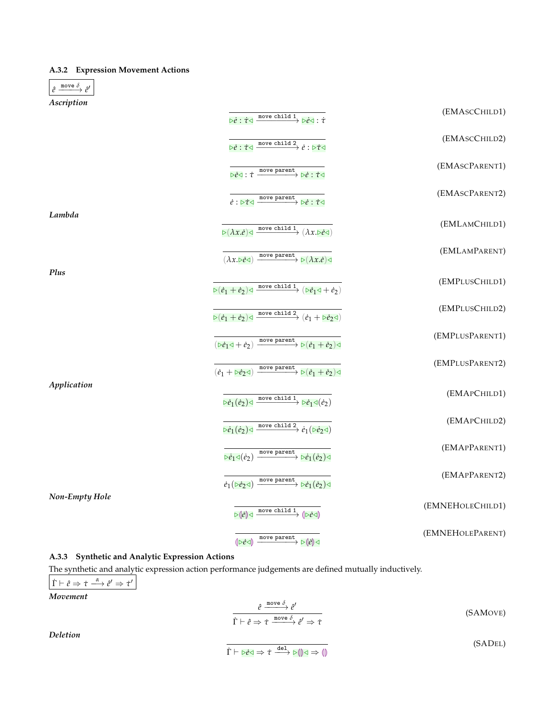## **A.3.2 Expression Movement Actions**

| <b>IOVA</b> |  |
|-------------|--|
|             |  |
|             |  |

*Ascription*

|                | $\overrightarrow{be} : \overrightarrow{\tau} \triangleleft \xrightarrow{\text{move child 1}} \overrightarrow{be} \triangleleft : \overrightarrow{\tau}$                                                | (EMASCCHILD1)    |
|----------------|--------------------------------------------------------------------------------------------------------------------------------------------------------------------------------------------------------|------------------|
|                | $\triangleright \dot{e}$ : $\dot{\tau}$ $\triangleleft$ $\xrightarrow{\text{move child 2}} \dot{e}$ : $\triangleright \dot{\tau}$                                                                      | (EMASCCHILD2)    |
|                | $\overrightarrow{\triangleright e\triangleleft} : \dot{\tau} \xrightarrow{\text{move parent}} \overrightarrow{\triangleright e} : \dot{\tau} \triangleleft$                                            | (EMASCPARENT1)   |
|                | $\vec{e} : \overrightarrow{b\tau}$ move parent $\overrightarrow{b\vec{e} : \tau}$                                                                                                                      | (EMASCPARENT2)   |
| Lambda         | $\triangleright (\lambda x.\dot{e}) \triangleleft \xrightarrow{\text{move child 1}} (\lambda x.\dot{\triangleright} \dot{e} \triangleleft)$                                                            | (EMLAMCHILD1)    |
|                | $(\lambda x. \triangleright \dot{e} \triangleleft) \xrightarrow{\text{move parent}} \triangleright (\lambda x. \dot{e}) \triangleleft$                                                                 | (EMLAMPARENT)    |
| Plus           | $\triangleright$ $(\dot{e}_1 + \dot{e}_2) \triangleleft$ move child $1$ $(\triangleright \dot{e}_1 \triangleleft + \dot{e}_2)$                                                                         | (EMPLUSCHILD1)   |
|                | $\overline{\triangleright(\dot{e}_1+\dot{e}_2)}$ move child $\overline{2}$ $(\dot{e}_1+\overline{\triangleright\dot{e}_2})$                                                                            | (EMPLUSCHILD2)   |
|                | $\frac{\overbrace{ \triangleright\dot{e}_1\triangleleft}}{ \triangleright\dot{e}_1\triangleleft}+\dot{e}_2}$ $\frac{\overline{\text{move parent}}}{ \triangleright(\dot{e}_1+\dot{e}_2)\triangleleft}$ | (EMPLUSPARENT1)  |
|                | $(\dot{e}_1 + \overrightarrow{e_2}) \xrightarrow{\text{move parent}} \overrightarrow{e_1 + e_2}$                                                                                                       | (EMPLUSPARENT2)  |
| Application    | $\triangleright \dot{e}_1(\dot{e}_2) \triangleleft \xrightarrow{\text{move child 1}} \triangleright \dot{e}_1 \triangleleft (\dot{e}_2)$                                                               | (EMAPCHILD1)     |
|                | $\overrightarrow{e_1(e_2)} \triangleleft \xrightarrow{\text{move child 2}} \dot{e_1}(\overrightarrow{e_2} \triangleleft)$                                                                              | (EMAPCHILD2)     |
|                | $\overrightarrow{e_1} \triangleleft (\dot{e}_2) \xrightarrow{\text{move parent}} \overrightarrow{e_1} (\dot{e}_2) \triangleleft$                                                                       | (EMAPPARENT1)    |
|                | $\stackrel{\cdot}{e}_1(\triangleright\stackrel{\cdot}{e}_2\triangleleft)\xrightarrow{\text{move parent}}\stackrel{\cdot}{\triangleright}\stackrel{\cdot}{e}_1(\stackrel{\cdot}{e}_2)\triangleleft$     | (EMAPPARENT2)    |
| Non-Empty Hole |                                                                                                                                                                                                        | (EMNEHOLECHILD1) |
|                | $\triangleright$ $\left\  \dot{e} \right\ $ $\triangleleft$ $\xrightarrow{\text{move child 1}}$ $\left\  \dot{\triangleright} \dot{e} \right\ $                                                        | (EMNEHOLEPARENT) |
|                | $\textbf{C}[\mathbb{R}^d \times \mathbb{R}] \xrightarrow{\text{move parent}} \mathbb{R}[\textbf{e}] \rtimes \textbf{e}$                                                                                |                  |

## **A.3.3 Synthetic and Analytic Expression Actions**

The synthetic and analytic expression action performance judgements are defined mutually inductively.

$$
\dot{\Gamma} \vdash \hat{e} \Rightarrow \dot{\tau} \stackrel{\alpha}{\longrightarrow} \hat{e}' \Rightarrow \dot{\tau}'
$$

$$
Movement
$$

$$
\frac{\hat{e} \xrightarrow{\text{move } \delta} \hat{e}'}{\Gamma \vdash \hat{e} \Rightarrow \hat{\tau} \xrightarrow{\text{move } \delta} \hat{e}' \Rightarrow \hat{\tau}}
$$
(SAMove)

*Deletion*

$$
\dot{\Gamma} \vdash \overrightarrow{\text{Dé}} \Rightarrow \dot{\tau} \xrightarrow{\text{del}} \overrightarrow{\text{D}(\mathbb{J} \triangleleft \Rightarrow \langle \mathbb{J} \rangle)} \tag{SADEL}
$$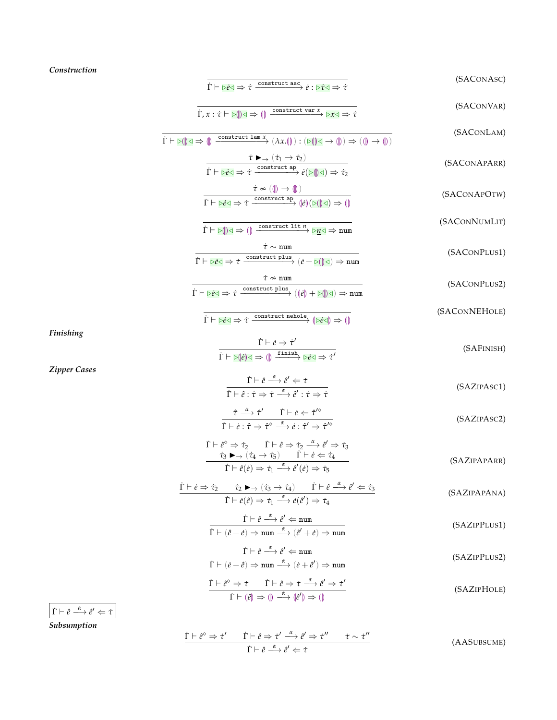## *Construction*

$$
\frac{\Gamma \vdash p \check{e} \check{e} \Rightarrow \check{\tau} \text{ construct as } \check{e} : p \check{\tau} \check{e} \Rightarrow \check{\tau}
$$
\n
$$
\frac{\Gamma, x : t \vdash \mathbb{S}(\mathbb{S} \Rightarrow \check{\tau} \text{ construct as } \check{\tau})}{\Gamma \vdash \mathbb{S}(\mathbb{S} \Rightarrow \check{\tau} \text{ construct as } \check{\tau}) \land x.(\mathbb{I}) : (\mathbb{S}(\mathbb{S} \Rightarrow \mathbb{Q}) \Rightarrow (\mathbb{S} \Rightarrow \mathbb{Q}) \Rightarrow (\mathbb{S} \Rightarrow \mathbb{S} \Rightarrow \mathbb{S} \Rightarrow \mathbb{S} \Rightarrow \mathbb{S} \Rightarrow \mathbb{S} \Rightarrow (\mathbb{S} \Rightarrow \mathbb{S} \Rightarrow \mathbb{S} \Rightarrow \mathbb{S} \Rightarrow (\mathbb{S} \Rightarrow \mathbb{S} \Rightarrow \mathbb{S} \Rightarrow \mathbb{S} \Rightarrow (\mathbb{S} \Rightarrow \mathbb{S} \Rightarrow \mathbb{S} \Rightarrow \mathbb{S} \Rightarrow (\mathbb{S} \Rightarrow \mathbb{S} \Rightarrow \mathbb{S} \Rightarrow \mathbb{S} \Rightarrow (\mathbb{S} \Rightarrow \mathbb{S} \Rightarrow \mathbb{S} \Rightarrow \mathbb{S} \Rightarrow \mathbb{S} \Rightarrow (\mathbb{S} \Rightarrow \mathbb{S} \Rightarrow \mathbb{S} \Rightarrow \mathbb{S} \Rightarrow \mathbb{S} \Rightarrow \mathbb{S} \Rightarrow \mathbb{S} \Rightarrow \mathbb{S} \Rightarrow \mathbb{S} \Rightarrow (\mathbb{S} \Rightarrow \mathbb{S} \Rightarrow \mathbb{S} \Rightarrow \mathbb{S} \Rightarrow \mathbb{S} \Rightarrow \mathbb{S} \Rightarrow \mathbb{S} \Rightarrow \mathbb{S} \Rightarrow \mathbb{S} \Rightarrow \mathbb{S} \Rightarrow \mathbb{S} \Rightarrow \mathbb{S} \Rightarrow \mathbb{S} \Rightarrow \mathbb{S} \Rightarrow \mathbb{S} \Rightarrow \mathbb{S} \Rightarrow \mathbb{S} \Rightarrow \mathbb{S} \Rightarrow \mathbb{S} \Rightarrow \mathbb{S} \Rightarrow \mathbb{S} \Rightarrow \mathbb{S} \Rightarrow \mathbb{S} \Rightarrow \mathbb{S} \Rightarrow \mathbb{S} \Rightarrow \mathbb{S} \Rightarrow \mathbb{S} \Rightarrow \mathbb{S} \Rightarrow \mathbb{S} \Rightarrow \mathbb{S} \Rightarrow \mathbb{S} \Rightarrow \mathbb{S} \Rightarrow \mathbb{S} \Rightarrow \mathbb{S} \Rightarrow \mathbb{S} \Rightarrow \mathbb
$$



$$
\frac{\dot{\Gamma} \vdash \hat{e}^{\diamond} \Rightarrow \dot{\tau}^{\prime} \qquad \dot{\Gamma} \vdash \hat{e} \Rightarrow \dot{\tau}^{\prime} \stackrel{\alpha}{\longrightarrow} \hat{e}^{\prime} \Rightarrow \dot{\tau}^{\prime \prime} \qquad \dot{\tau} \sim \dot{\tau}^{\prime \prime}}{\dot{\Gamma} \vdash \hat{e} \stackrel{\alpha}{\longrightarrow} \hat{e}^{\prime} \Leftarrow \dot{\tau}}
$$
\n(AASUBSUME)

*Finishing*

*Zipper Cases*

$$
\vdash \mathsf{D}(\mathcal{e}) \triangleleft \Rightarrow (\mathsf{D} \xrightarrow{\mathsf{finish}} \mathsf{D} \mathcal{e} \triangleleft \Rightarrow t'
$$

$$
\dot{\Gamma} \vdash \hat{e} \xrightarrow{\alpha} \hat{e}' \Leftarrow \dot{\tau}
$$
 (SAZIPASC1)

$$
\frac{\hat{\tau} \stackrel{\alpha}{\longrightarrow} \hat{\tau}'}{\dot{\Gamma} \vdash \dot{\tau} \stackrel{\alpha}{\longrightarrow} \hat{\tau}^{\diamond}} \frac{\dot{\Gamma} \vdash \dot{e} \Leftarrow \hat{\tau}^{\prime \diamond}}{\dot{\gamma} \dot{\gamma} \cdot \dot{\gamma} \cdot \dot{\gamma} \cdot \dot{\gamma}^{\prime \diamond}} \tag{SAZIPASC2}
$$

$$
\vec{\Gamma} \vdash \dot{e} : \hat{\tau} \Rightarrow \hat{\tau}^{\diamond} \xrightarrow{\alpha} \dot{e} : \hat{\tau}' \Rightarrow \hat{\tau}'^{\diamond}
$$
\n
$$
\vec{\Gamma} \vdash \hat{e} \Rightarrow \dot{\tau} \Rightarrow \hat{\tau}^{\diamond} \xrightarrow{\alpha} \hat{\tau}^{\diamond} \Rightarrow \dot{\tau}^{\diamond}
$$
\n
$$
(SALIPASC)
$$

$$
\frac{\dot{\tau}_3 \blacktriangleright_{\rightarrow} (\dot{\tau}_4 \rightarrow \dot{\tau}_5) \qquad \dot{\Gamma} \vdash \dot{e} \Leftarrow \dot{\tau}_4}{\dot{\Gamma} \vdash \hat{e}(\dot{e}) \Rightarrow \dot{\tau}_1 \xrightarrow{\alpha} \hat{e}'(\dot{e}) \Rightarrow \dot{\tau}_5}
$$
 (SAZIPAPARR)

$$
\frac{\dot{\Gamma} \vdash \dot{e} \Rightarrow \dot{\tau}_2 \qquad \dot{\tau}_2 \blacktriangleright_{\rightarrow} (\dot{\tau}_3 \rightarrow \dot{\tau}_4) \qquad \dot{\Gamma} \vdash \hat{e} \stackrel{\alpha}{\longrightarrow} \hat{e}' \Leftarrow \dot{\tau}_3}{\dot{\Gamma} \vdash \dot{e}(\hat{e}) \Rightarrow \dot{\tau}_1 \stackrel{\alpha}{\longrightarrow} \dot{e}(\hat{e}') \Rightarrow \dot{\tau}_4}
$$
\n(SAZIPAPANA)

$$
\frac{\Gamma \vdash \hat{e} \xrightarrow{\alpha} \hat{e}' \Leftarrow \text{num}}{\Gamma \vdash (\hat{e} + \hat{e}) \Rightarrow \text{num} \xrightarrow{\alpha} (\hat{e}' + \hat{e}) \Rightarrow \text{num}} \tag{SAZIPPLUS1}
$$

$$
\dot{\Gamma} \vdash \ell \to \ell \iff \text{num}
$$
\n
$$
\dot{\Gamma} \vdash (\ell + \ell) \Rightarrow \text{num} \xrightarrow{\alpha} (\ell' + \ell) \Rightarrow \text{num}
$$
\n(SAZIPPLUS1)

$$
\frac{\dot{\Gamma} \vdash \hat{e} \xrightarrow{\alpha} \hat{e}' \Leftarrow \text{num}}{\dot{\Gamma} \vdash (\dot{e} + \hat{e}) \Rightarrow \text{num} \xrightarrow{\alpha} (\dot{e} + \hat{e}') \Rightarrow \text{num}} \tag{SAZIPPLUS2}
$$